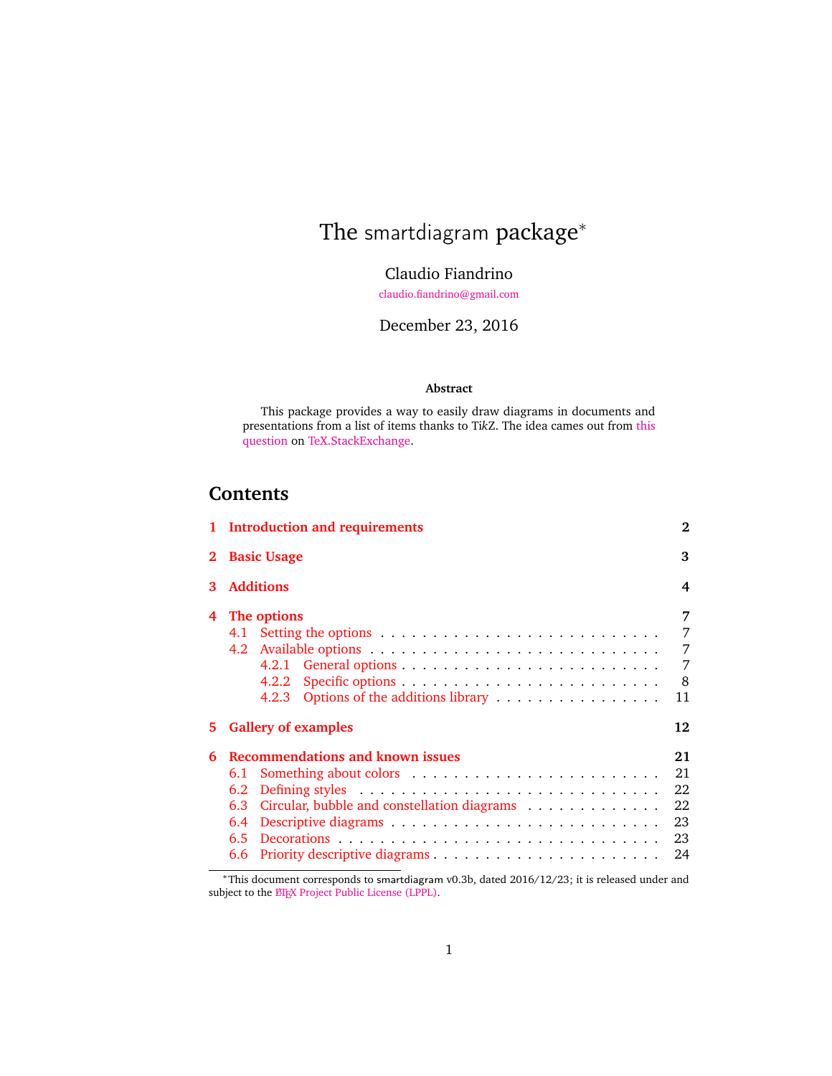# The smartdiagram package<sup>\*</sup>

Claudio Fiandrino

[claudio.fiandrino@gmail.com](mailto:claudio.fiandrino@gmail.com)

December 23, 2016

## **Abstract**

This package provides a way to easily draw diagrams in documents and presentations from a list of items thanks to Ti*k*Z. The idea cames out from [this](http://tex.stackexchange.com/questions/78310/powerpoints-smart-art-for-tikz) [question](http://tex.stackexchange.com/questions/78310/powerpoints-smart-art-for-tikz) on [TeX.StackExchange.](http://tex.stackexchange.com)

## **Contents**

| 1 Introduction and requirements<br>2                                                                                    |                                                        |  |  |
|-------------------------------------------------------------------------------------------------------------------------|--------------------------------------------------------|--|--|
| 3                                                                                                                       |                                                        |  |  |
| <b>Additions</b><br>4                                                                                                   |                                                        |  |  |
| The options<br>4.1<br>4.2.1 General options $\ldots \ldots \ldots \ldots \ldots \ldots \ldots \ldots$<br>4.2.2<br>4.2.3 | 7<br>7<br>7<br>7<br>8<br>11                            |  |  |
| <b>Gallery of examples</b>                                                                                              | 12                                                     |  |  |
| Recommendations and known issues<br>6.1<br>6.2<br>Circular, bubble and constellation diagrams<br>6.3<br>6.4<br>6.5      | 21<br>21<br>22<br>22<br>23<br>23<br>24                 |  |  |
|                                                                                                                         | <b>Basic Usage</b><br>Options of the additions library |  |  |

<sup>∗</sup>This document corresponds to smartdiagram v0.3b, dated 2016/12/23; it is released under and subject to the E[TEX Project Public License \(LPPL\).](http://www.latex-project.org/lppl/)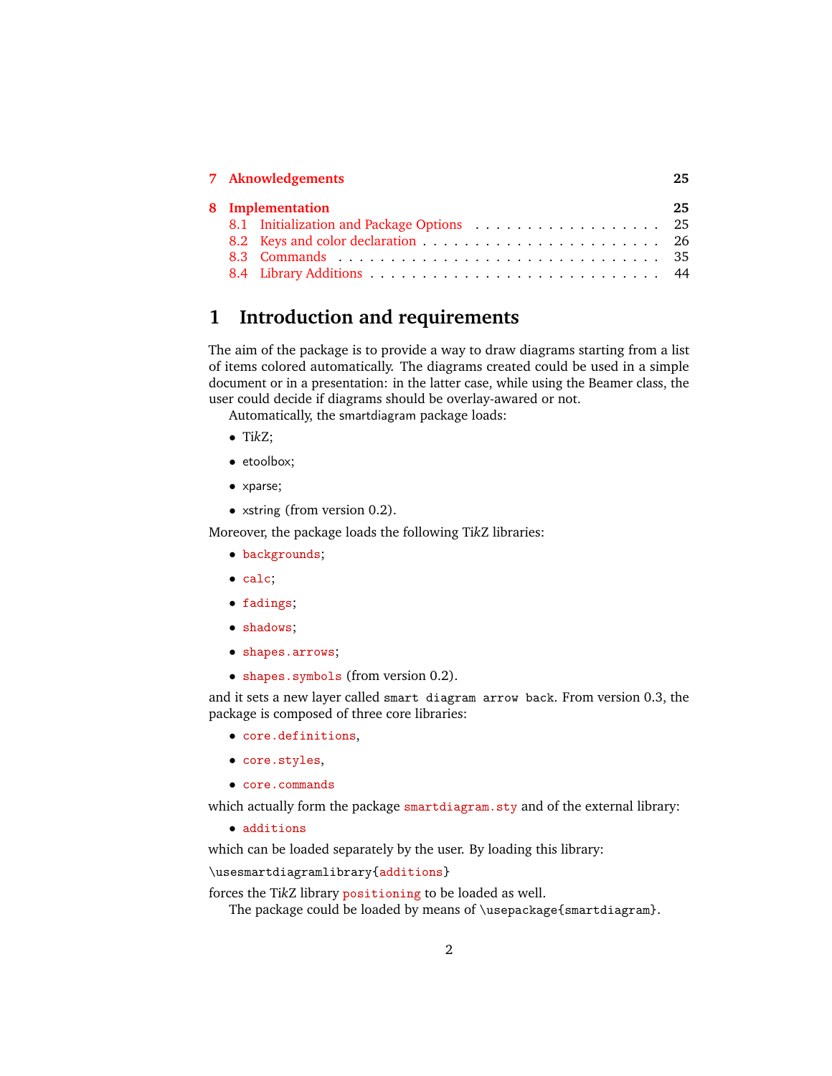|  | 7 Aknowledgements                         | 25. |
|--|-------------------------------------------|-----|
|  | 8 Implementation                          | 25. |
|  | 8.1 Initialization and Package Options 25 |     |
|  |                                           |     |
|  |                                           |     |
|  |                                           |     |

## <span id="page-1-0"></span>**1 Introduction and requirements**

The aim of the package is to provide a way to draw diagrams starting from a list of items colored automatically. The diagrams created could be used in a simple document or in a presentation: in the latter case, while using the Beamer class, the user could decide if diagrams should be overlay-awared or not.

Automatically, the smartdiagram package loads:

- Ti*k*Z;
- etoolbox;
- xparse;
- xstring (from version 0.2).

Moreover, the package loads the following Ti*k*Z libraries:

- backgrounds;
- calc;
- fadings;
- shadows;
- shapes.arrows;
- shapes.symbols (from version 0.2).

and it sets a new layer called smart diagram arrow back. From version 0.3, the package is composed of three core libraries:

- core.definitions,
- core.styles,
- core.commands

which actually form the package smartdiagram.sty and of the external library:

• additions

which can be loaded separately by the user. By loading this library:

\usesmartdiagramlibrary{additions}

forces the Ti*k*Z library positioning to be loaded as well.

The package could be loaded by means of \usepackage{smartdiagram}.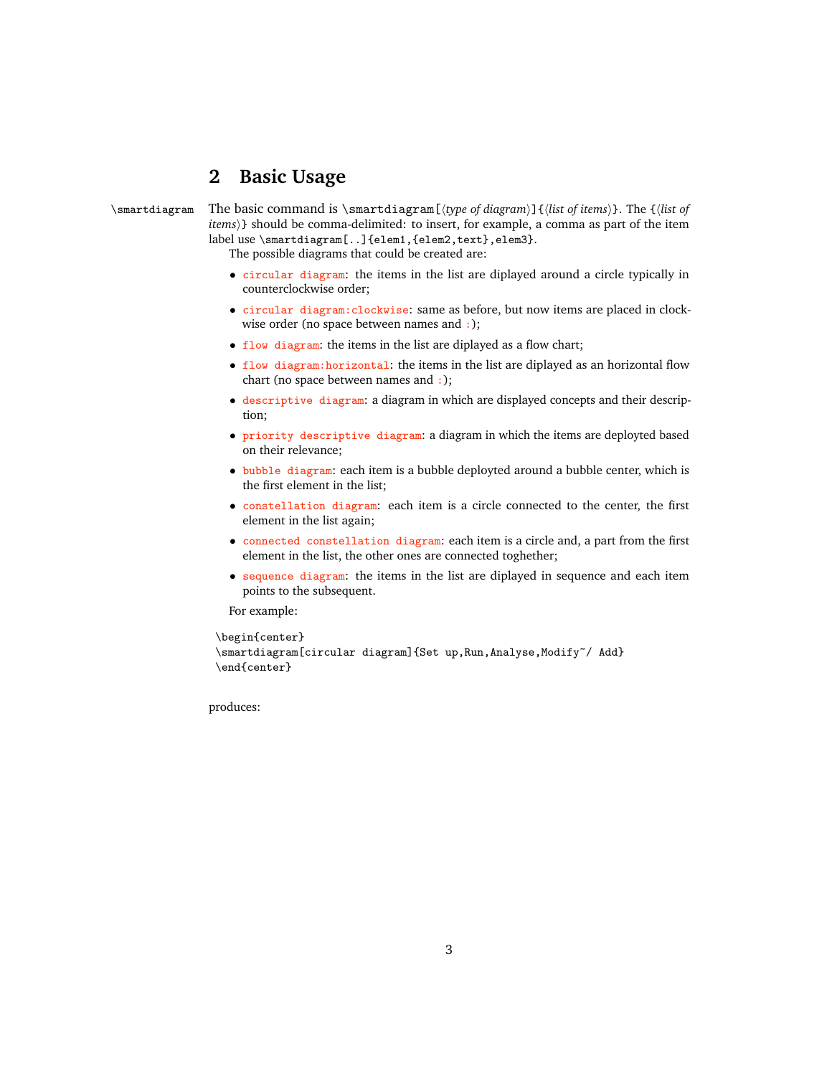## <span id="page-2-0"></span>**2 Basic Usage**

\smartdiagram The basic command is \smartdiagram[ $\langle$ *type of diagram*}]{ $\langle$ *list of items*}}. The { $\langle$ *list of items*)} should be comma-delimited: to insert, for example, a comma as part of the item label use \smartdiagram[..]{elem1,{elem2,text},elem3}.

The possible diagrams that could be created are:

- circular diagram: the items in the list are diplayed around a circle typically in counterclockwise order;
- circular diagram:clockwise: same as before, but now items are placed in clockwise order (no space between names and :);
- flow diagram: the items in the list are diplayed as a flow chart;
- flow diagram:horizontal: the items in the list are diplayed as an horizontal flow chart (no space between names and :);
- descriptive diagram: a diagram in which are displayed concepts and their description;
- priority descriptive diagram: a diagram in which the items are deployted based on their relevance;
- bubble diagram: each item is a bubble deployted around a bubble center, which is the first element in the list;
- constellation diagram: each item is a circle connected to the center, the first element in the list again;
- connected constellation diagram: each item is a circle and, a part from the first element in the list, the other ones are connected toghether;
- sequence diagram: the items in the list are diplayed in sequence and each item points to the subsequent.

For example:

```
\begin{center}
```

```
\smartdiagram[circular diagram]{Set up, Run, Analyse, Modify~/ Add}
\end{center}
```
produces: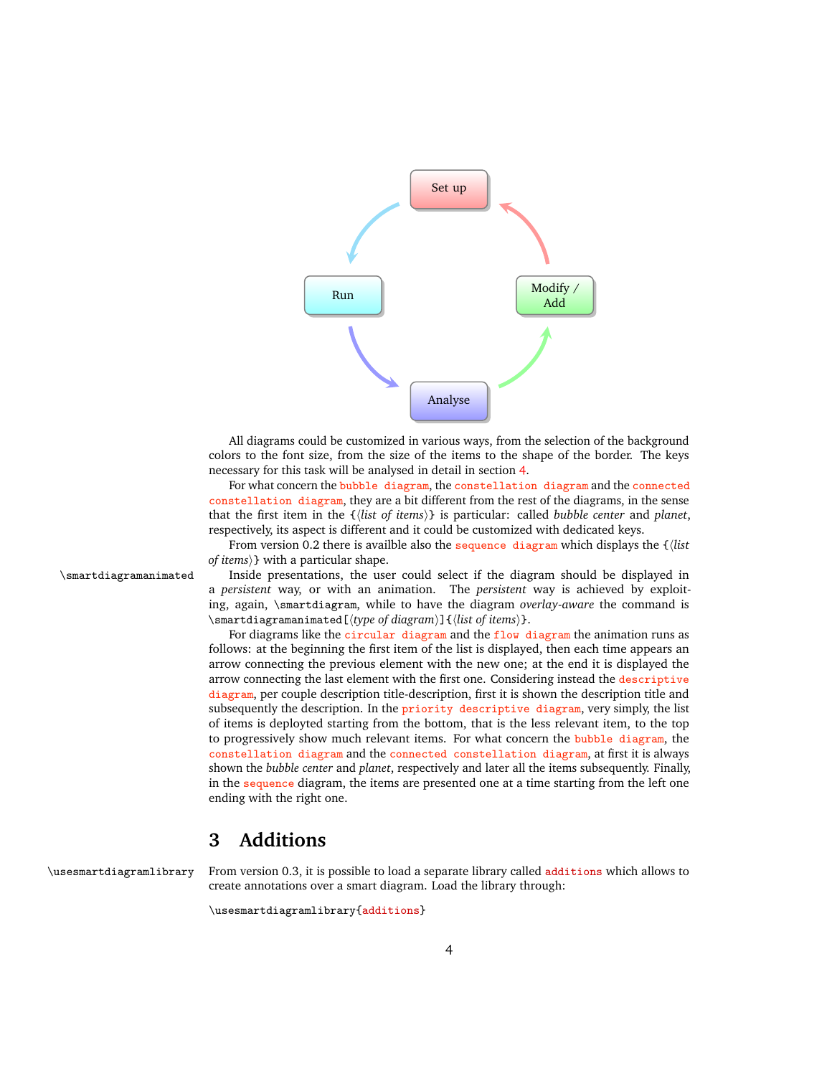

All diagrams could be customized in various ways, from the selection of the background colors to the font size, from the size of the items to the shape of the border. The keys necessary for this task will be analysed in detail in section [4.](#page-6-0)

For what concern the bubble diagram, the constellation diagram and the connected constellation diagram, they are a bit different from the rest of the diagrams, in the sense that the first item in the {h*list of items*i} is particular: called *bubble center* and *planet*, respectively, its aspect is different and it could be customized with dedicated keys.

From version 0.2 there is availble also the sequence diagram which displays the  $\frac{1}{\delta}$ *of items*)*}* with a particular shape.

\smartdiagramanimated Inside presentations, the user could select if the diagram should be displayed in a *persistent* way, or with an animation. The *persistent* way is achieved by exploiting, again, \smartdiagram, while to have the diagram *overlay-aware* the command is \smartdiagramanimated[ $\langle type\ of\ diagram\rangle$ ]{ $\langle lists\ of\ items\rangle$ }.

> For diagrams like the circular diagram and the flow diagram the animation runs as follows: at the beginning the first item of the list is displayed, then each time appears an arrow connecting the previous element with the new one; at the end it is displayed the arrow connecting the last element with the first one. Considering instead the descriptive diagram, per couple description title-description, first it is shown the description title and subsequently the description. In the priority descriptive diagram, very simply, the list of items is deployted starting from the bottom, that is the less relevant item, to the top to progressively show much relevant items. For what concern the bubble diagram, the constellation diagram and the connected constellation diagram, at first it is always shown the *bubble center* and *planet*, respectively and later all the items subsequently. Finally, in the sequence diagram, the items are presented one at a time starting from the left one ending with the right one.

## <span id="page-3-0"></span>**3 Additions**

\usesmartdiagramlibrary From version 0.3, it is possible to load a separate library called additions which allows to create annotations over a smart diagram. Load the library through:

\usesmartdiagramlibrary{additions}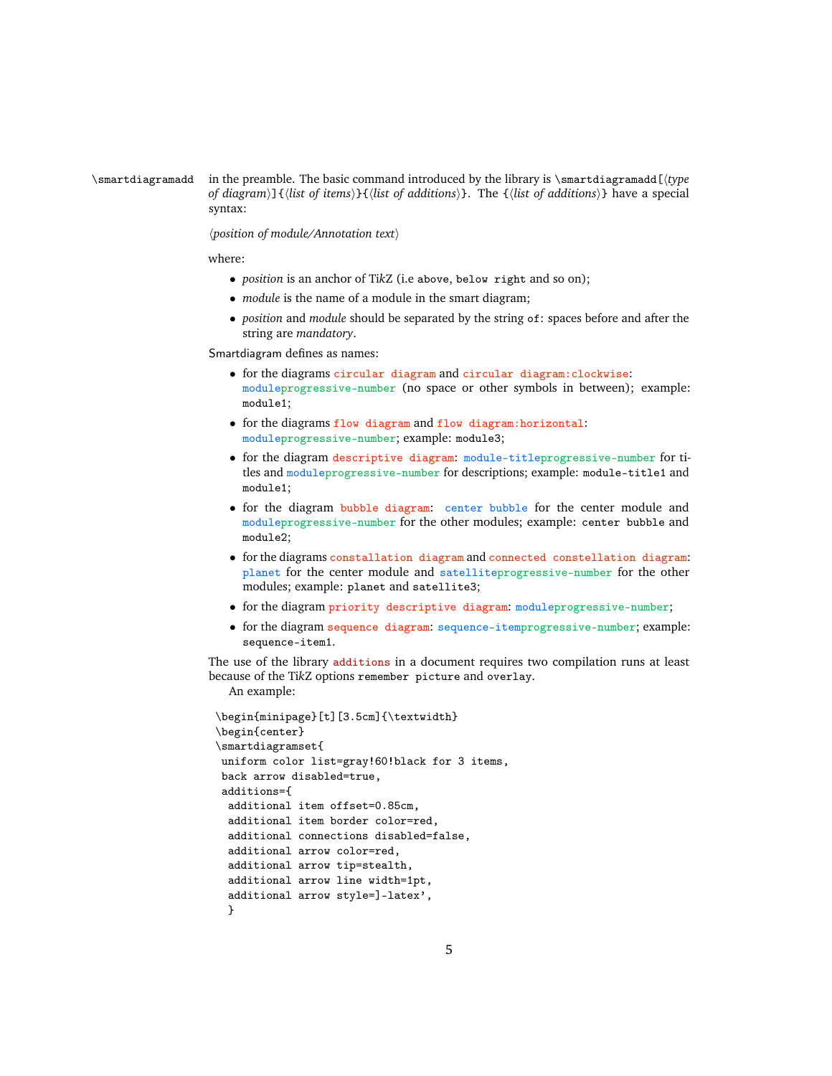#### \smartdiagramadd in the preamble. The basic command introduced by the library is \smartdiagramadd[h*type of diagram*)]{ $\{$ *list of items* $\}$ }{ $\{$ *list of additions*}. The  $\{$ *list of additions*}} have a special syntax:

h*position of module/Annotation text*i

where:

- *position* is an anchor of Ti*k*Z (i.e above, below right and so on);
- *module* is the name of a module in the smart diagram;
- *position* and *module* should be separated by the string of: spaces before and after the string are *mandatory*.

Smartdiagram defines as names:

- for the diagrams circular diagram and circular diagram:clockwise: moduleprogressive-number (no space or other symbols in between); example: module1;
- for the diagrams flow diagram and flow diagram:horizontal: moduleprogressive-number; example: module3;
- for the diagram descriptive diagram: module-titleprogressive-number for titles and moduleprogressive-number for descriptions; example: module-title1 and module1;
- for the diagram bubble diagram: center bubble for the center module and moduleprogressive-number for the other modules; example: center bubble and module2;
- for the diagrams constallation diagram and connected constellation diagram: planet for the center module and satelliteprogressive-number for the other modules; example: planet and satellite3;
- for the diagram priority descriptive diagram: moduleprogressive-number;
- for the diagram sequence diagram: sequence-itemprogressive-number; example: sequence-item1.

The use of the library additions in a document requires two compilation runs at least because of the Ti*k*Z options remember picture and overlay.

An example:

```
\begin{minipage}[t][3.5cm]{\textwidth}
\begin{center}
\smartdiagramset{
uniform color list=gray!60!black for 3 items,
back arrow disabled=true,
additions={
 additional item offset=0.85cm,
 additional item border color=red,
 additional connections disabled=false,
 additional arrow color=red,
 additional arrow tip=stealth,
 additional arrow line width=1pt,
 additional arrow style=]-latex',
 }
```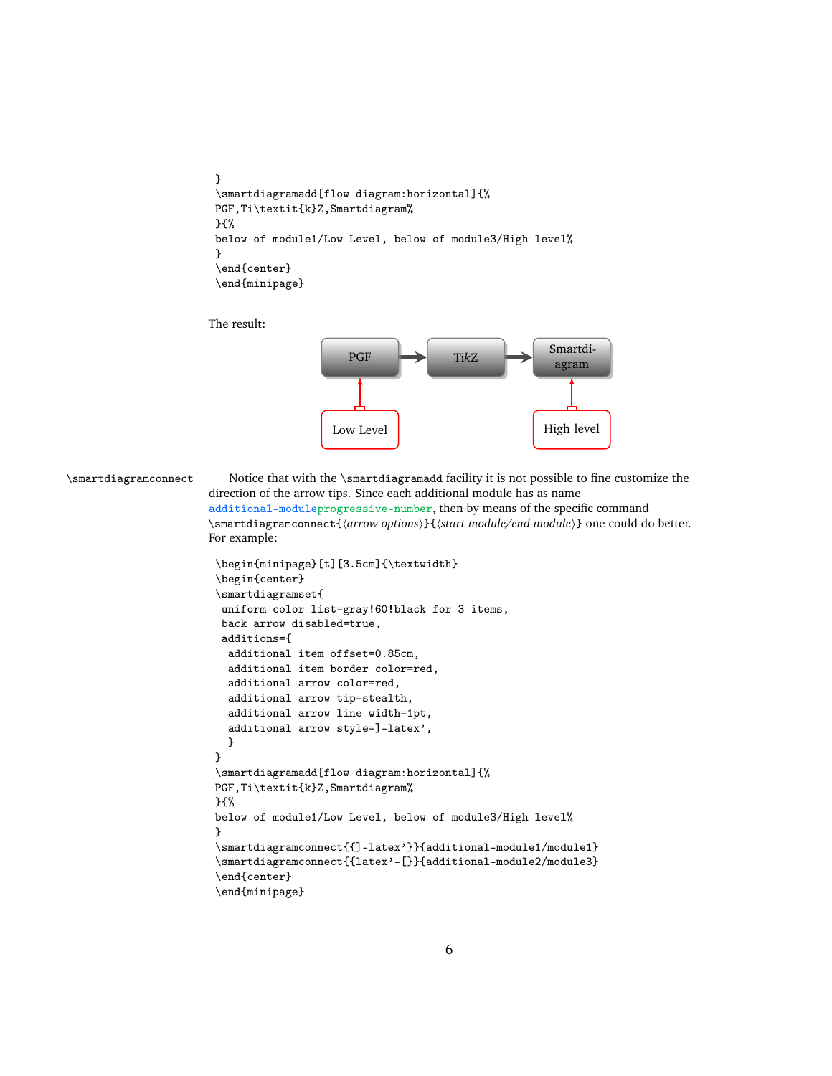```
}
\smartdiagramadd[flow diagram:horizontal]{%
PGF,Ti\textit{k}Z,Smartdiagram%
}{%
below of module1/Low Level, below of module3/High level%
}
\end{center}
\end{minipage}
```
The result:

For example:



\smartdiagramconnect Notice that with the \smartdiagramadd facility it is not possible to fine customize the direction of the arrow tips. Since each additional module has as name additional-moduleprogressive-number, then by means of the specific command \smartdiagramconnect{*{arrow options}*}{*{start module/end module}*} one could do better.

```
\begin{minipage}[t][3.5cm]{\textwidth}
\begin{center}
\smartdiagramset{
 uniform color list=gray!60!black for 3 items,
 back arrow disabled=true,
 additions={
  additional item offset=0.85cm,
  additional item border color=red,
  additional arrow color=red,
  additional arrow tip=stealth,
  additional arrow line width=1pt,
  additional arrow style=]-latex',
  }
}
\smartdiagramadd[flow diagram:horizontal]{%
PGF,Ti\textit{k}Z,Smartdiagram%
}{%
below of module1/Low Level, below of module3/High level%
}
\smartdiagramconnect{{]-latex'}}{additional-module1/module1}
\smartdiagramconnect{{latex'-[}}{additional-module2/module3}
\end{center}
\end{minipage}
```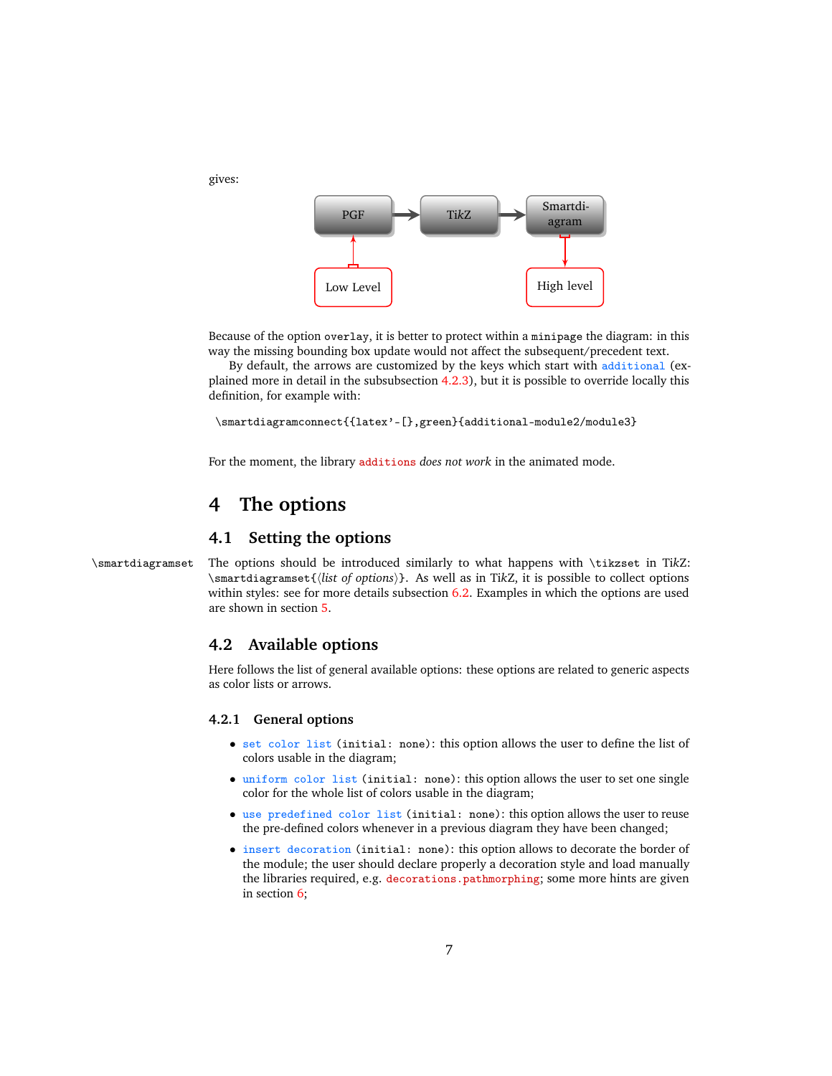

Because of the option overlay, it is better to protect within a minipage the diagram: in this way the missing bounding box update would not affect the subsequent/precedent text.

By default, the arrows are customized by the keys which start with additional (explained more in detail in the subsubsection [4.2.3\)](#page-10-0), but it is possible to override locally this definition, for example with:

```
\smartdiagramconnect{{latex'-[},green}{additional-module2/module3}
```
For the moment, the library additions *does not work* in the animated mode.

## <span id="page-6-0"></span>**4 The options**

gives:

## <span id="page-6-1"></span>**4.1 Setting the options**

\smartdiagramset The options should be introduced similarly to what happens with \tikzset in Ti*k*Z: \smartdiagramset{h*list of options*i}. As well as in Ti*k*Z, it is possible to collect options within styles: see for more details subsection [6.2.](#page-21-0) Examples in which the options are used are shown in section [5.](#page-11-0)

#### <span id="page-6-2"></span>**4.2 Available options**

Here follows the list of general available options: these options are related to generic aspects as color lists or arrows.

#### <span id="page-6-3"></span>**4.2.1 General options**

- set color list (initial: none): this option allows the user to define the list of colors usable in the diagram;
- uniform color list (initial: none): this option allows the user to set one single color for the whole list of colors usable in the diagram;
- use predefined color list (initial: none): this option allows the user to reuse the pre-defined colors whenever in a previous diagram they have been changed;
- insert decoration (initial: none): this option allows to decorate the border of the module; the user should declare properly a decoration style and load manually the libraries required, e.g. decorations.pathmorphing; some more hints are given in section [6;](#page-20-0)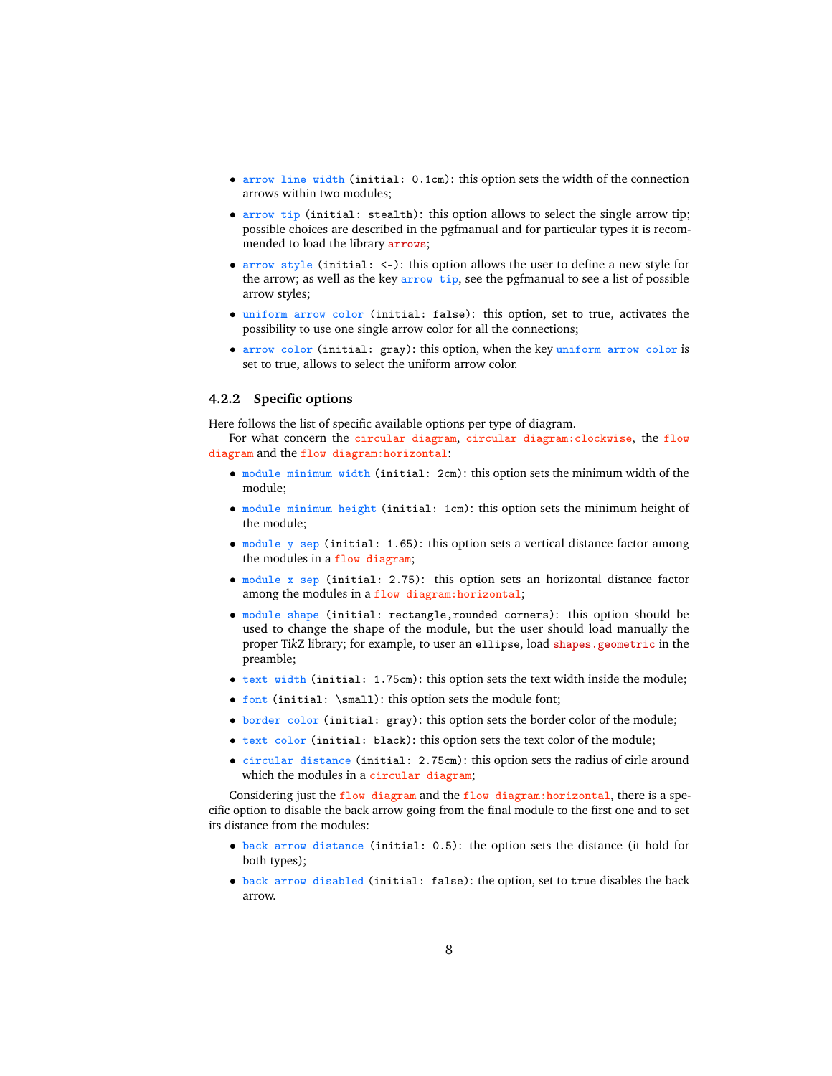- arrow line width (initial: 0.1cm): this option sets the width of the connection arrows within two modules;
- arrow tip (initial: stealth): this option allows to select the single arrow tip; possible choices are described in the pgfmanual and for particular types it is recommended to load the library arrows;
- arrow style (initial: <-): this option allows the user to define a new style for the arrow; as well as the key arrow tip, see the pgfmanual to see a list of possible arrow styles;
- uniform arrow color (initial: false): this option, set to true, activates the possibility to use one single arrow color for all the connections;
- arrow color (initial: gray): this option, when the key uniform arrow color is set to true, allows to select the uniform arrow color.

#### <span id="page-7-0"></span>**4.2.2 Specific options**

Here follows the list of specific available options per type of diagram.

For what concern the circular diagram, circular diagram:clockwise, the flow diagram and the flow diagram:horizontal:

- module minimum width (initial: 2cm): this option sets the minimum width of the module;
- module minimum height (initial: 1cm): this option sets the minimum height of the module;
- module y sep (initial: 1.65): this option sets a vertical distance factor among the modules in a flow diagram;
- module x sep (initial: 2.75): this option sets an horizontal distance factor among the modules in a flow diagram: horizontal;
- module shape (initial: rectangle,rounded corners): this option should be used to change the shape of the module, but the user should load manually the proper Ti*k*Z library; for example, to user an ellipse, load shapes.geometric in the preamble;
- text width (initial: 1.75cm): this option sets the text width inside the module;
- font (initial: \small): this option sets the module font;
- border color (initial: gray): this option sets the border color of the module;
- text color (initial: black): this option sets the text color of the module;
- circular distance (initial: 2.75cm): this option sets the radius of cirle around which the modules in a circular diagram;

Considering just the flow diagram and the flow diagram:horizontal, there is a specific option to disable the back arrow going from the final module to the first one and to set its distance from the modules:

- back arrow distance (initial: 0.5): the option sets the distance (it hold for both types);
- back arrow disabled (initial: false): the option, set to true disables the back arrow.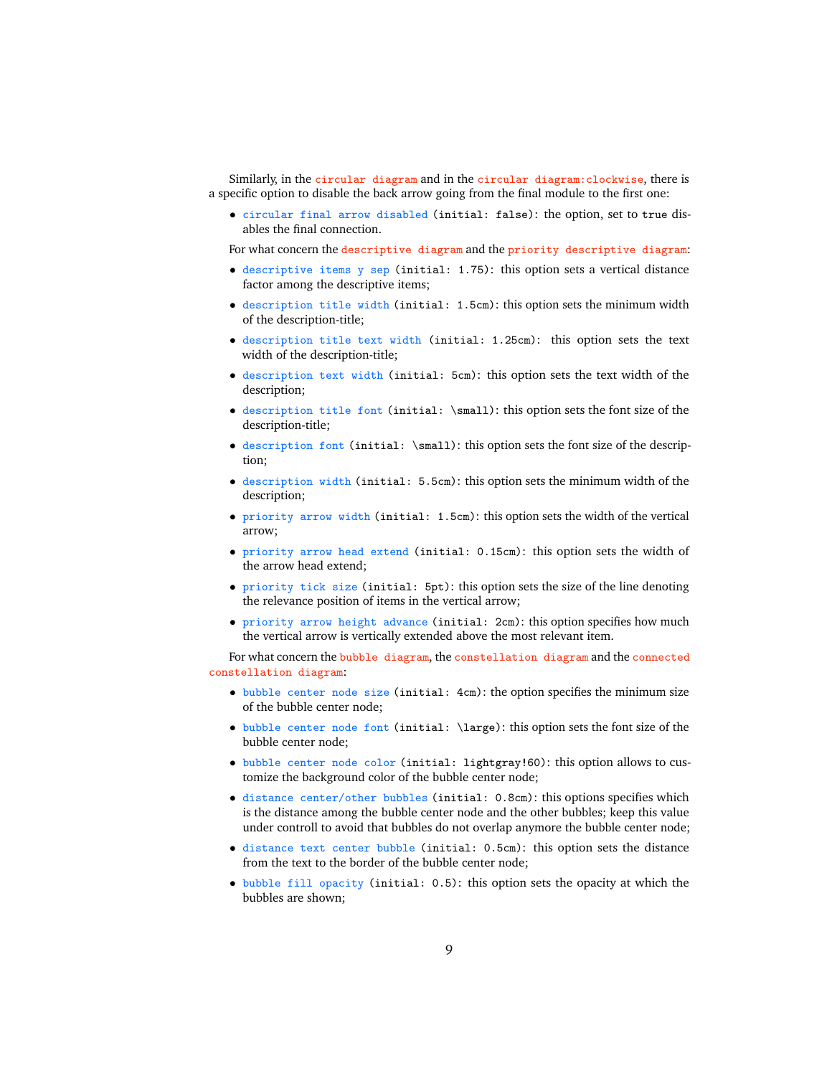Similarly, in the circular diagram and in the circular diagram:clockwise, there is a specific option to disable the back arrow going from the final module to the first one:

• circular final arrow disabled (initial: false): the option, set to true disables the final connection.

For what concern the descriptive diagram and the priority descriptive diagram:

- descriptive items y sep (initial: 1.75): this option sets a vertical distance factor among the descriptive items;
- description title width (initial: 1.5cm): this option sets the minimum width of the description-title;
- description title text width (initial: 1.25cm): this option sets the text width of the description-title;
- description text width (initial: 5cm): this option sets the text width of the description;
- description title font (initial: \small): this option sets the font size of the description-title;
- description font (initial: \small): this option sets the font size of the description;
- description width (initial: 5.5cm): this option sets the minimum width of the description;
- priority arrow width (initial: 1.5cm): this option sets the width of the vertical arrow;
- priority arrow head extend (initial: 0.15cm): this option sets the width of the arrow head extend;
- priority tick size (initial: 5pt): this option sets the size of the line denoting the relevance position of items in the vertical arrow;
- priority arrow height advance (initial: 2cm): this option specifies how much the vertical arrow is vertically extended above the most relevant item.

For what concern the bubble diagram, the constellation diagram and the connected constellation diagram:

- bubble center node size (initial: 4cm): the option specifies the minimum size of the bubble center node;
- bubble center node font (initial: \large): this option sets the font size of the bubble center node;
- bubble center node color (initial: lightgray!60): this option allows to customize the background color of the bubble center node;
- distance center/other bubbles (initial: 0.8cm): this options specifies which is the distance among the bubble center node and the other bubbles; keep this value under controll to avoid that bubbles do not overlap anymore the bubble center node;
- distance text center bubble (initial: 0.5cm): this option sets the distance from the text to the border of the bubble center node;
- bubble fill opacity (initial: 0.5): this option sets the opacity at which the bubbles are shown;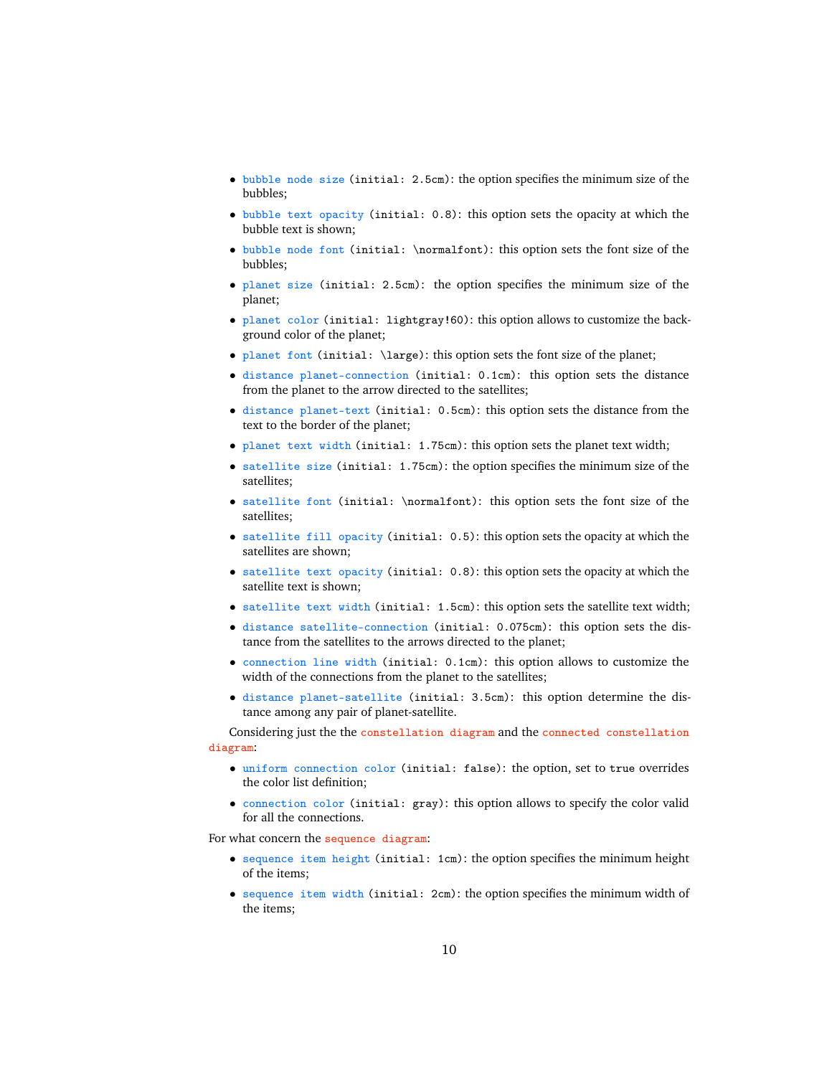- bubble node size (initial: 2.5cm): the option specifies the minimum size of the bubbles;
- bubble text opacity (initial: 0.8): this option sets the opacity at which the bubble text is shown;
- bubble node font (initial: \normalfont): this option sets the font size of the bubbles;
- planet size (initial: 2.5cm): the option specifies the minimum size of the planet;
- planet color (initial: lightgray!60): this option allows to customize the background color of the planet;
- planet font (initial:  $\langle$  large): this option sets the font size of the planet;
- distance planet-connection (initial: 0.1cm): this option sets the distance from the planet to the arrow directed to the satellites;
- distance planet-text (initial: 0.5cm): this option sets the distance from the text to the border of the planet;
- planet text width (initial: 1.75cm): this option sets the planet text width;
- satellite size (initial: 1.75cm): the option specifies the minimum size of the satellites;
- satellite font (initial: \normalfont): this option sets the font size of the satellites;
- satellite fill opacity (initial: 0.5): this option sets the opacity at which the satellites are shown;
- satellite text opacity (initial: 0.8): this option sets the opacity at which the satellite text is shown;
- satellite text width (initial: 1.5cm): this option sets the satellite text width;
- distance satellite-connection (initial: 0.075cm): this option sets the distance from the satellites to the arrows directed to the planet;
- connection line width (initial: 0.1cm): this option allows to customize the width of the connections from the planet to the satellites;
- distance planet-satellite (initial: 3.5cm): this option determine the distance among any pair of planet-satellite.

Considering just the the constellation diagram and the connected constellation diagram:

- uniform connection color (initial: false): the option, set to true overrides the color list definition;
- connection color (initial: gray): this option allows to specify the color valid for all the connections.

For what concern the sequence diagram:

- sequence item height (initial: 1cm): the option specifies the minimum height of the items;
- sequence item width (initial: 2cm): the option specifies the minimum width of the items;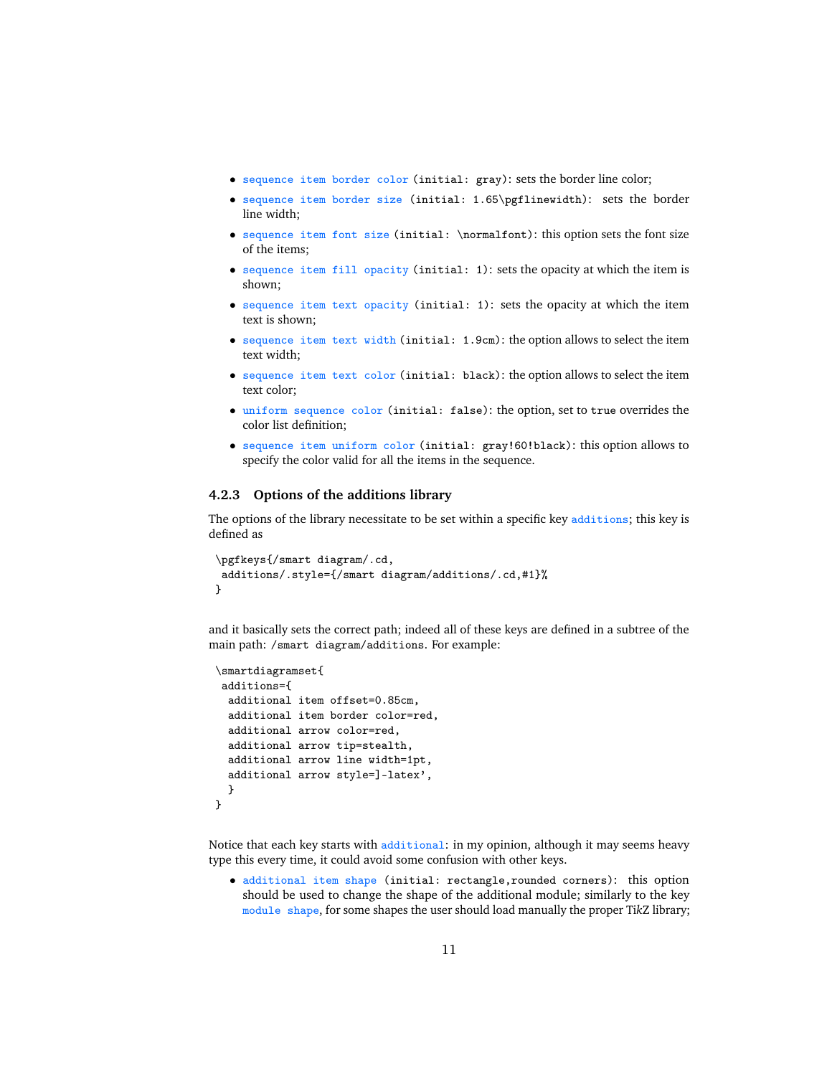- sequence item border color (initial: gray): sets the border line color;
- sequence item border size (initial: 1.65\pgflinewidth): sets the border line width;
- sequence item font size (initial: \normalfont): this option sets the font size of the items;
- sequence item fill opacity (initial: 1): sets the opacity at which the item is shown;
- sequence item text opacity (initial: 1): sets the opacity at which the item text is shown;
- sequence item text width (initial: 1.9cm): the option allows to select the item text width;
- sequence item text color (initial: black): the option allows to select the item text color;
- uniform sequence color (initial: false): the option, set to true overrides the color list definition;
- sequence item uniform color (initial: gray!60!black): this option allows to specify the color valid for all the items in the sequence.

#### <span id="page-10-0"></span>**4.2.3 Options of the additions library**

The options of the library necessitate to be set within a specific key additions; this key is defined as

```
\pgfkeys{/smart diagram/.cd,
additions/.style={/smart diagram/additions/.cd,#1}%
}
```
and it basically sets the correct path; indeed all of these keys are defined in a subtree of the main path: /smart diagram/additions. For example:

```
\smartdiagramset{
 additions={
  additional item offset=0.85cm,
  additional item border color=red,
  additional arrow color=red,
  additional arrow tip=stealth,
  additional arrow line width=1pt,
  additional arrow style=]-latex',
  }
}
```
Notice that each key starts with additional: in my opinion, although it may seems heavy type this every time, it could avoid some confusion with other keys.

• additional item shape (initial: rectangle,rounded corners): this option should be used to change the shape of the additional module; similarly to the key module shape, for some shapes the user should load manually the proper Ti*k*Z library;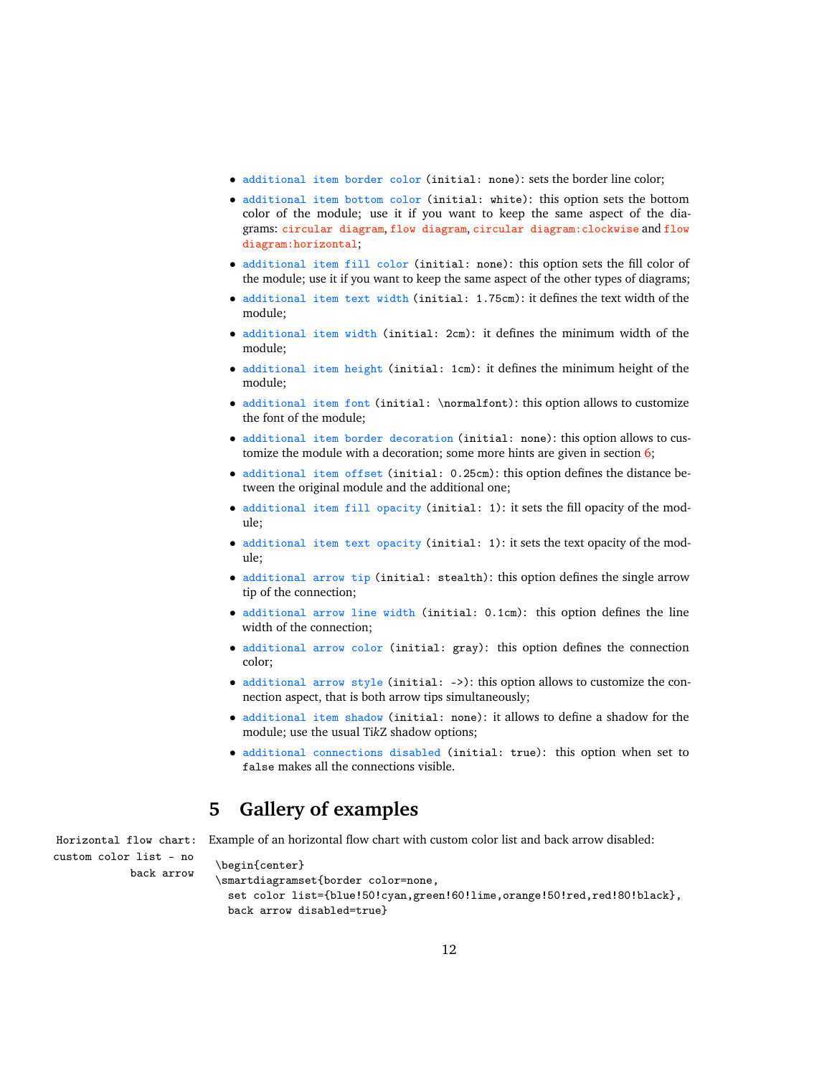- additional item border color (initial: none): sets the border line color;
- additional item bottom color (initial: white): this option sets the bottom color of the module; use it if you want to keep the same aspect of the diagrams: circular diagram, flow diagram, circular diagram:clockwise and flow diagram:horizontal;
- additional item fill color (initial: none): this option sets the fill color of the module; use it if you want to keep the same aspect of the other types of diagrams;
- additional item text width (initial: 1.75cm): it defines the text width of the module;
- additional item width (initial: 2cm): it defines the minimum width of the module;
- additional item height (initial: 1cm): it defines the minimum height of the module;
- additional item font (initial: \normalfont): this option allows to customize the font of the module;
- additional item border decoration (initial: none): this option allows to customize the module with a decoration; some more hints are given in section [6;](#page-20-0)
- additional item offset (initial: 0.25cm): this option defines the distance between the original module and the additional one;
- additional item fill opacity (initial: 1): it sets the fill opacity of the module;
- additional item text opacity (initial: 1): it sets the text opacity of the mod $n$ le;
- additional arrow tip (initial: stealth): this option defines the single arrow tip of the connection;
- additional arrow line width (initial: 0.1cm): this option defines the line width of the connection;
- additional arrow color (initial: gray): this option defines the connection color;
- additional arrow style (initial: ->): this option allows to customize the connection aspect, that is both arrow tips simultaneously;
- additional item shadow (initial: none): it allows to define a shadow for the module; use the usual Ti*k*Z shadow options;
- additional connections disabled (initial: true): this option when set to false makes all the connections visible.

## <span id="page-11-0"></span>**5 Gallery of examples**

custom color list - no

Horizontal flow chart: Example of an horizontal flow chart with custom color list and back arrow disabled:

```
\frac{1}{\text{begin}}
```
\smartdiagramset{border color=none,

set color list={blue!50!cyan,green!60!lime,orange!50!red,red!80!black}, back arrow disabled=true}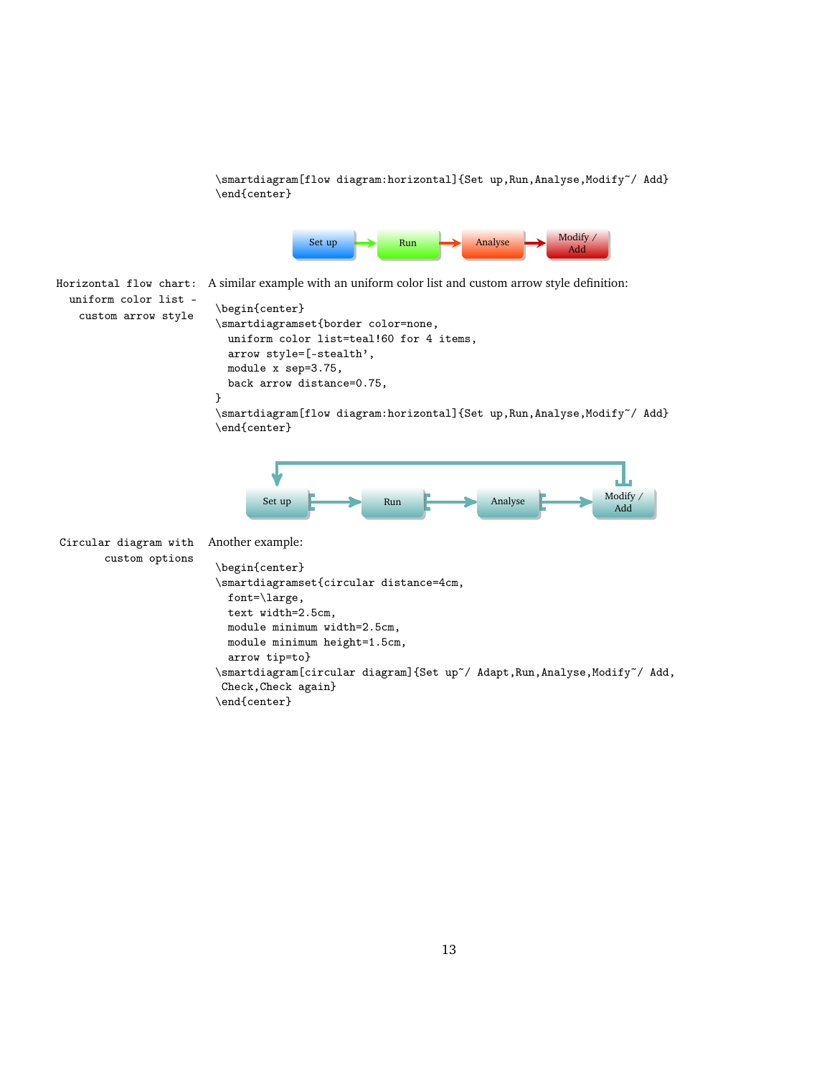\smartdiagram[flow diagram:horizontal]{Set up,Run,Analyse,Modify~/ Add} \end{center}



Horizontal flow chart: A similar example with an uniform color list and custom arrow style definition:

uniform color list custom arrow style \begin{center}

```
\smartdiagramset{border color=none,
  uniform color list=teal!60 for 4 items,
  arrow style=[-stealth',
 module x sep=3.75,
  back arrow distance=0.75,
}
```
\smartdiagram[flow diagram:horizontal]{Set up,Run,Analyse,Modify~/ Add} \end{center}



| Circular diagram with Another example: |                                                                                                                |
|----------------------------------------|----------------------------------------------------------------------------------------------------------------|
| custom options                         | \begin{center}<br>\smartdiagramset{circular distance=4cm,<br>font= $\langle \text{large}, \rangle$             |
|                                        | text width=2.5cm,<br>module minimum width=2.5cm,<br>module minimum height=1.5cm,<br>arrow tip=to}              |
|                                        | \smartdiagram[circular diagram]{Set up~/ Adapt,Run,Analyse,Modify~/ Add,<br>Check, Check again}<br>end{center} |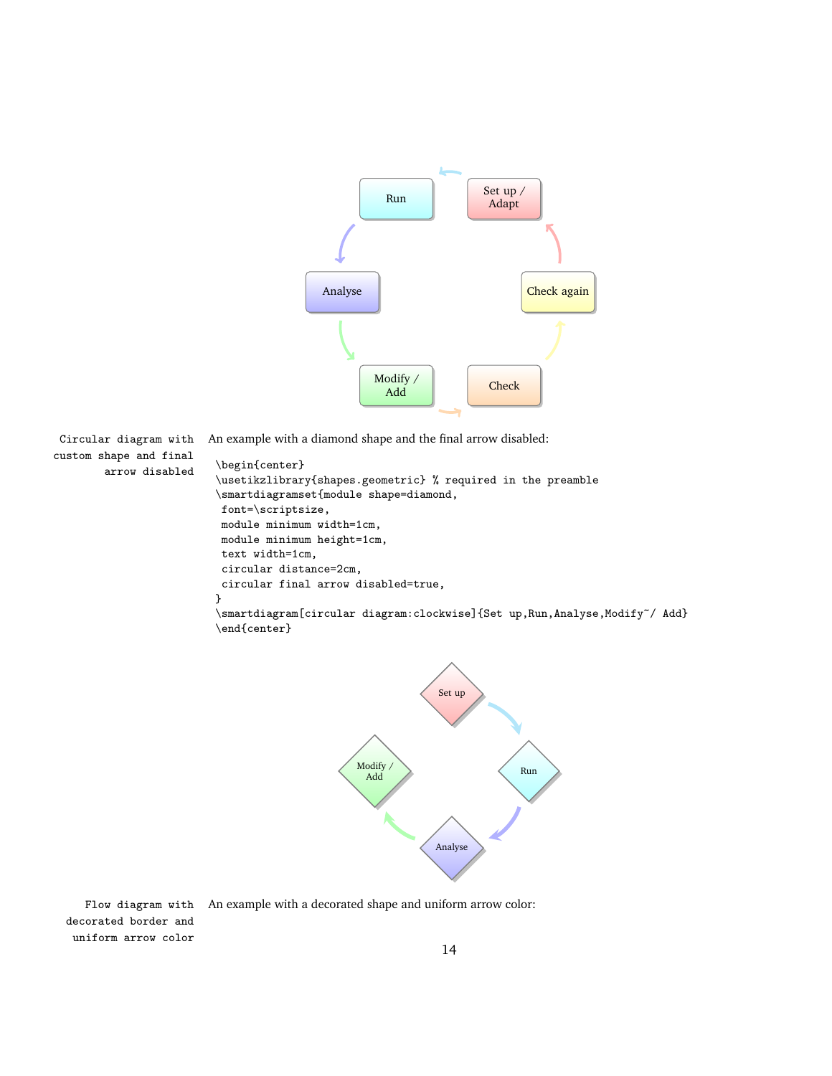

custom shape and final arrow disabled \begin{center}

Circular diagram with An example with a diamond shape and the final arrow disabled:

```
\usetikzlibrary{shapes.geometric} % required in the preamble
\smartdiagramset{module shape=diamond,
 font=\scriptsize,
module minimum width=1cm,
module minimum height=1cm,
 text width=1cm,
 circular distance=2cm,
 circular final arrow disabled=true,
}
\smartdiagram[circular diagram:clockwise]{Set up,Run,Analyse,Modify~/ Add}
\end{center}
```


Flow diagram with An example with a decorated shape and uniform arrow color: decorated border and uniform arrow color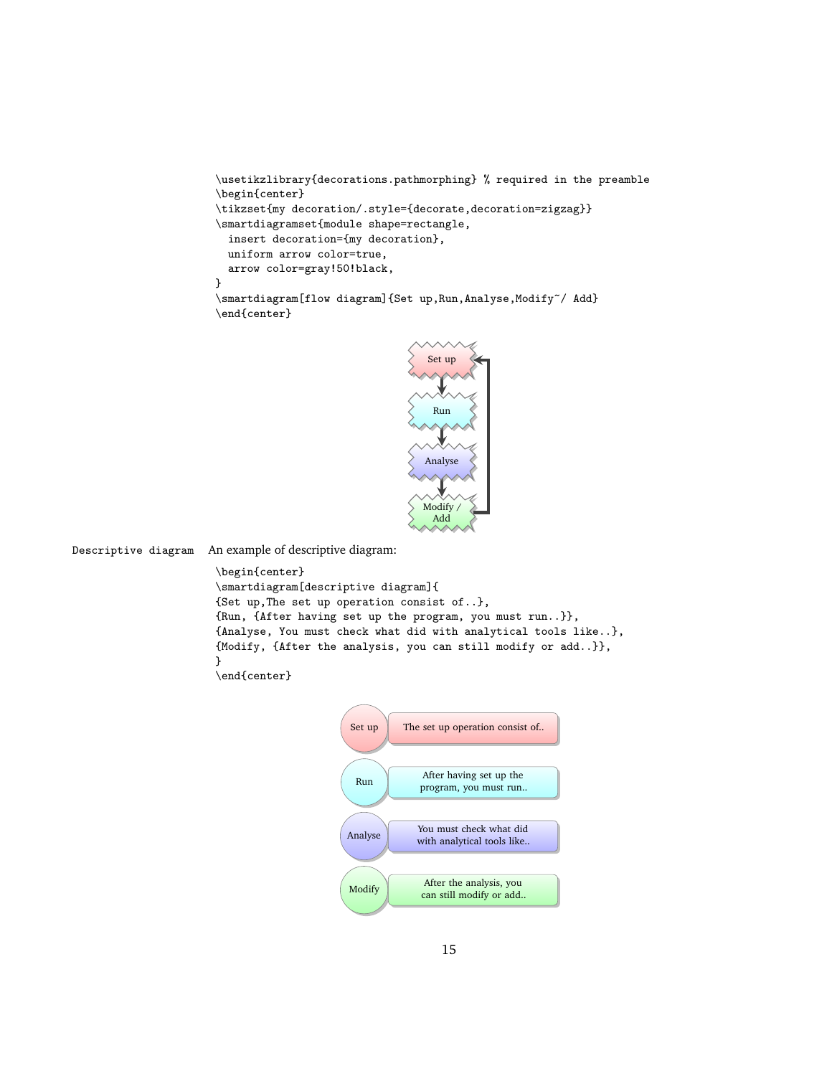```
\usetikzlibrary{decorations.pathmorphing} % required in the preamble
\begin{center}
\tikzset{my decoration/.style={decorate,decoration=zigzag}}
\smartdiagramset{module shape=rectangle,
  insert decoration={my decoration},
  uniform arrow color=true,
  arrow color=gray!50!black,
}
\smartdiagram[flow diagram]{Set up,Run,Analyse,Modify~/ Add}
\end{center}
```


Descriptive diagram An example of descriptive diagram:

```
\begin{center}
\smartdiagram[descriptive diagram]{
{Set up,The set up operation consist of..},
{Run, {After having set up the program, you must run..}},
{Analyse, You must check what did with analytical tools like..},
{Modify, {After the analysis, you can still modify or add..}},
}
\end{center}
```

```
Set up The set up operation consist of..
  Run
                      After having set up the
                     program, you must run..
Analyse You must check what did
                     with analytical tools like..
Modify \left\{\n\begin{array}{c}\n\text{After the analysis, you} \\
\text{see still model for each odd.}\n\end{array}\n\right\}can still modify or add..
```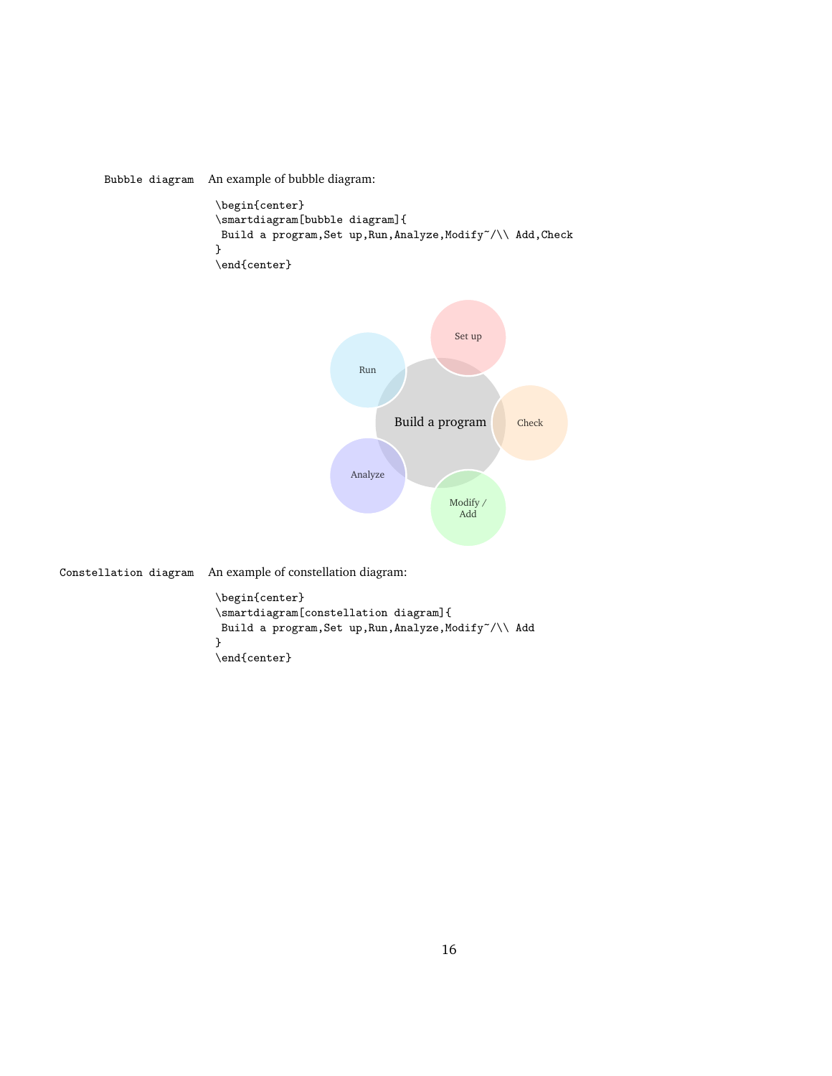Bubble diagram An example of bubble diagram:

```
\begin{center}
\smartdiagram[bubble diagram]{
Build a program, Set up, Run, Analyze, Modify~/\\ Add, Check
}
\end{center}
```


Constellation diagram An example of constellation diagram:

```
\begin{center}
\smartdiagram[constellation diagram]{
Build a program, Set up, Run, Analyze, Modify~/\\ Add
}
\verb|\end{center}|
```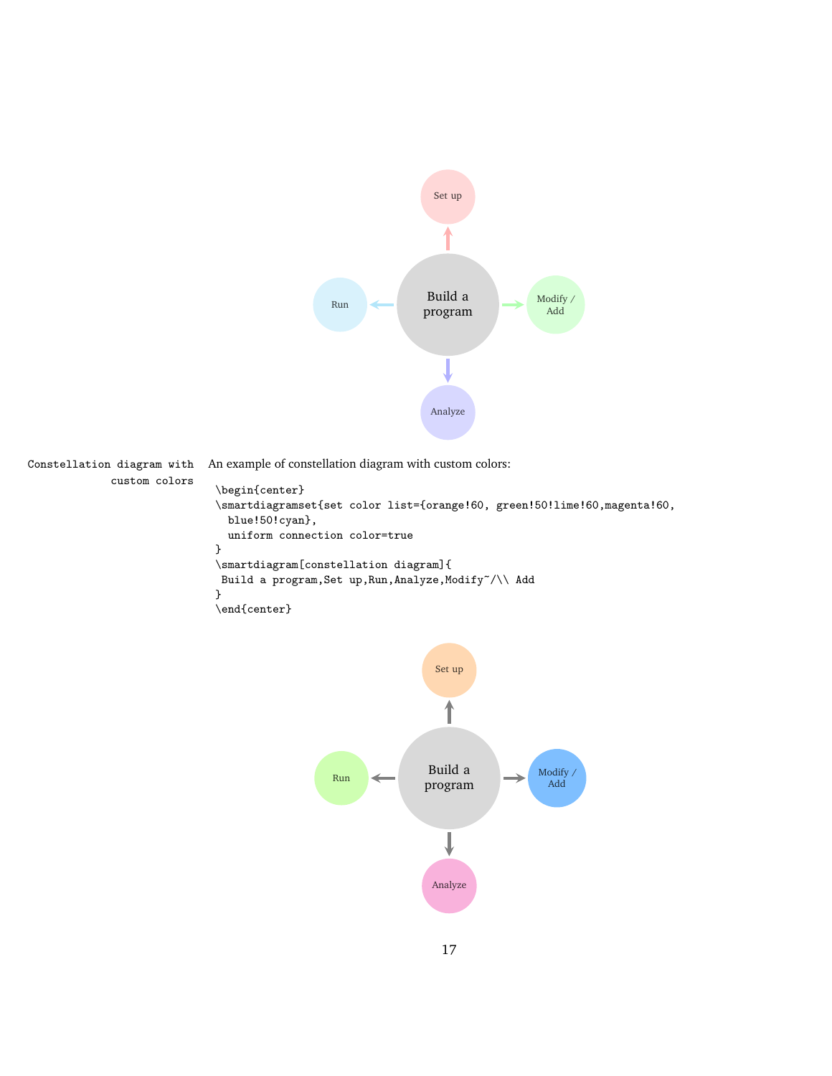

custom colors

Constellation diagram with An example of constellation diagram with custom colors:

```
\begin{center}
\smartdiagramset{set color list={orange!60, green!50!lime!60,magenta!60,
  blue!50!cyan},
  uniform connection color=true
}
\smartdiagram[constellation diagram]{
Build a program, Set up, Run, Analyze, Modify~/\\ Add
}
\end{center}
```
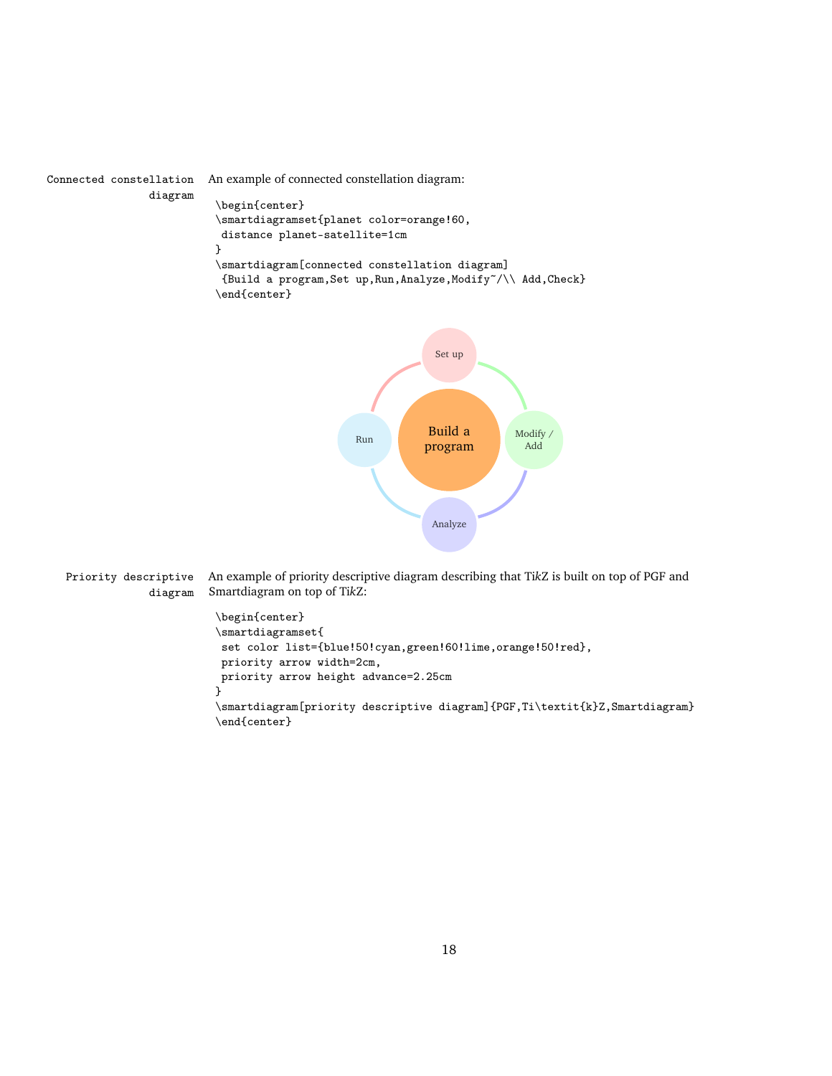```
Connected constellation An example of connected constellation diagram:
                diagram
                           \begin{center}
                           \smartdiagramset{planet color=orange!60,
                            distance planet-satellite=1cm
                           }
                           \smartdiagram[connected constellation diagram]
                            {Build a program,Set up,Run,Analyze,Modify~/\\ Add,Check}
                           \end{center}
```


Priority descriptive An example of priority descriptive diagram describing that Ti*k*Z is built on top of PGF and diagram Smartdiagram on top of Ti*k*Z:

```
\begin{center}
\smartdiagramset{
set color list={blue!50!cyan,green!60!lime,orange!50!red},
priority arrow width=2cm,
priority arrow height advance=2.25cm
}
\smartdiagram[priority descriptive diagram]{PGF,Ti\textit{k}Z,Smartdiagram}
\end{center}
```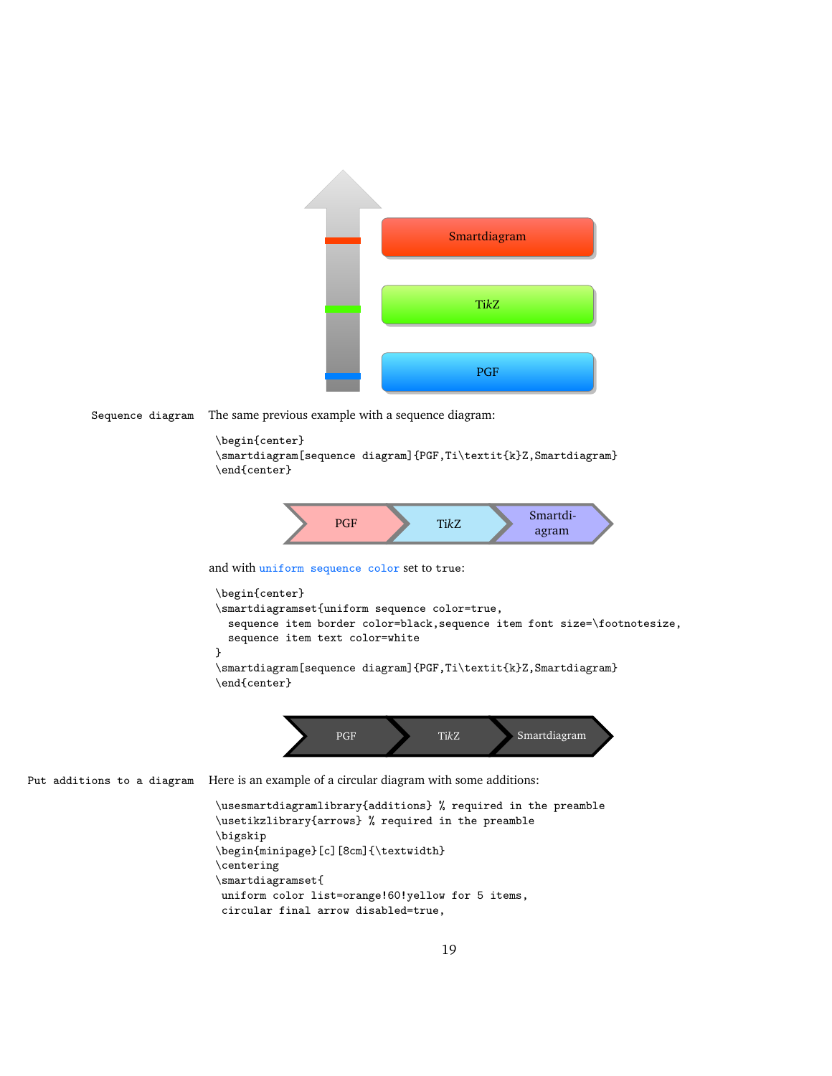

Sequence diagram The same previous example with a sequence diagram:

```
\begin{center}
\smartdiagram[sequence diagram]{PGF,Ti\textit{k}Z,Smartdiagram}
\end{center}
```


and with uniform sequence color set to true:

```
\begin{center}
\smartdiagramset{uniform sequence color=true,
  sequence item border color=black,sequence item font size=\footnotesize,
  sequence item text color=white
}
\smartdiagram[sequence diagram]{PGF,Ti\textit{k}Z,Smartdiagram}
\end{center}
```


Put additions to a diagram Here is an example of a circular diagram with some additions:

```
\usesmartdiagramlibrary{additions} % required in the preamble
\usetikzlibrary{arrows} % required in the preamble
\bigskip
\begin{minipage}[c][8cm]{\textwidth}
\centering
\smartdiagramset{
uniform color list=orange!60!yellow for 5 items,
 circular final arrow disabled=true,
```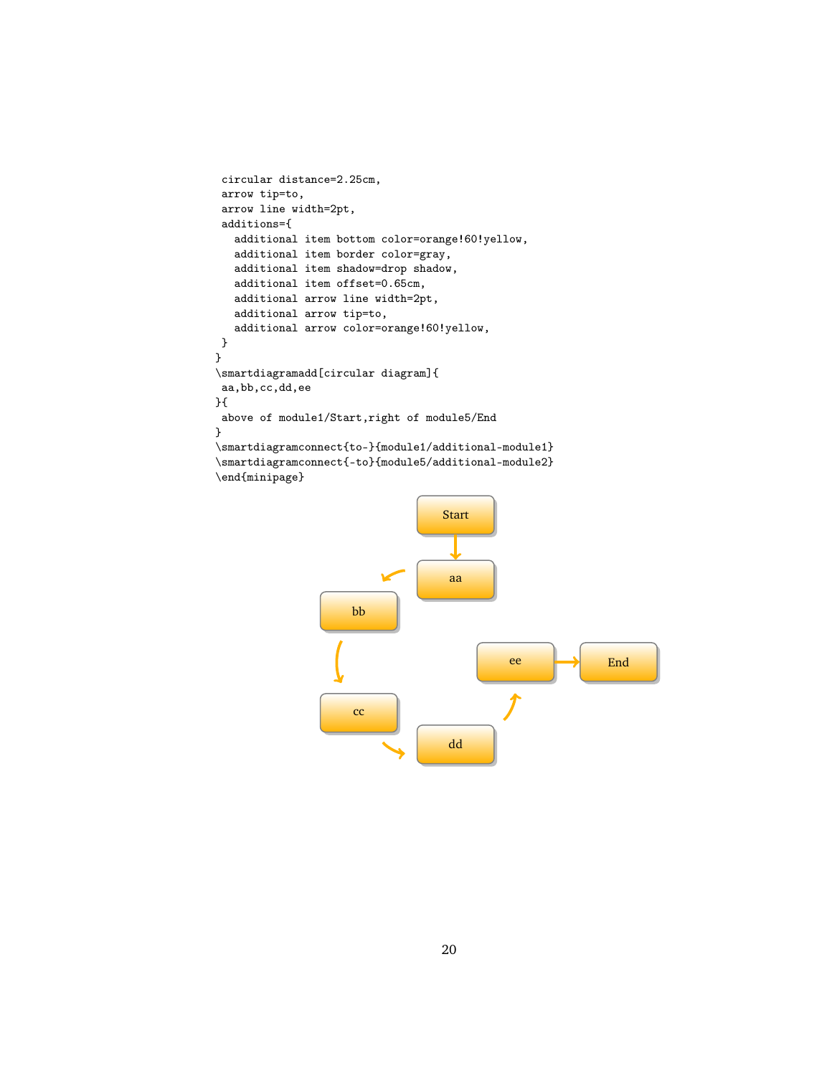```
circular distance=2.25cm,
 arrow tip=to,
 arrow line width=2pt,
 additions={
   additional item bottom color=orange!60!yellow,
   additional item border color=gray,
   additional item shadow=drop shadow,
   additional item offset=0.65cm,
   additional arrow line width=2pt,
   additional arrow tip=to,
   additional arrow color=orange!60!yellow,
}
}
\smartdiagramadd[circular diagram]{
aa,bb,cc,dd,ee
}{
above of module1/Start,right of module5/End
}
\smartdiagramconnect{to-}{module1/additional-module1}
\smartdiagramconnect{-to}{module5/additional-module2}
\end{minipage}
```
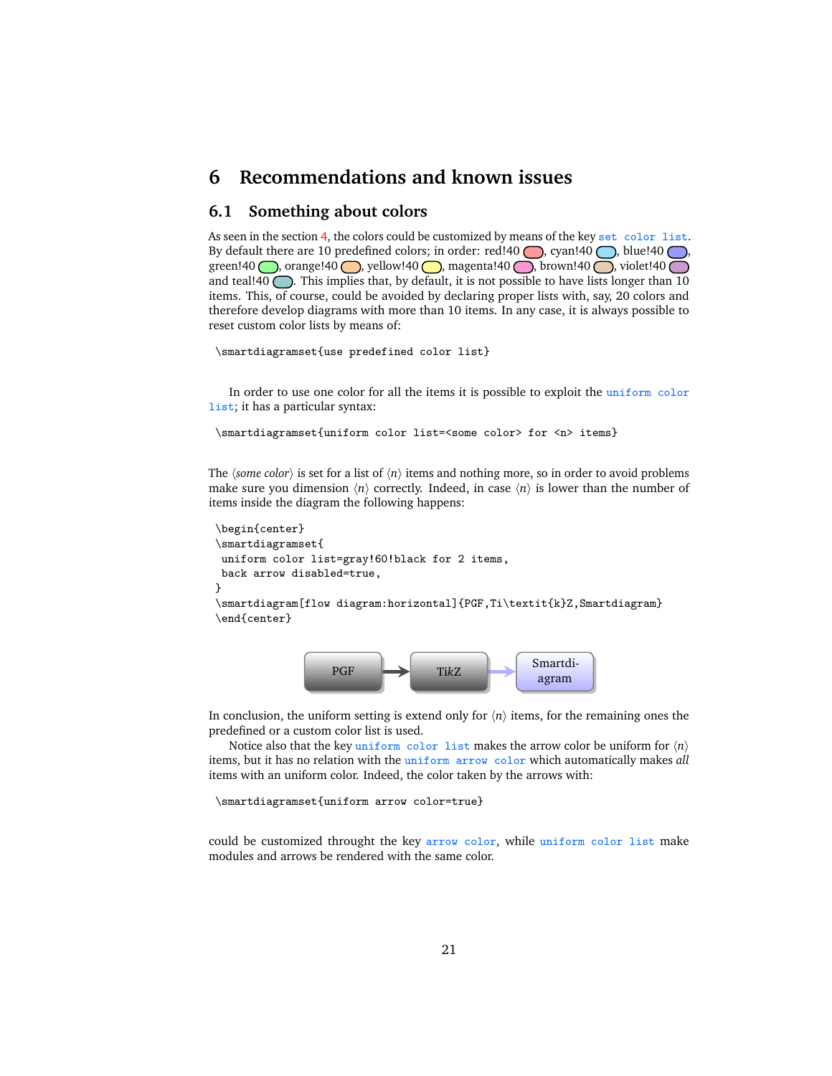## <span id="page-20-0"></span>**6 Recommendations and known issues**

#### <span id="page-20-1"></span>**6.1 Something about colors**

As seen in the section [4,](#page-6-0) the colors could be customized by means of the key set color list. By default there are 10 predefined colors; in order: red!40 , cyan!40 , blue!40 , green!40 , orange!40 , yellow!40 , magenta!40 , brown!40 , violet!40 and teal!40  $\bigcirc$ . This implies that, by default, it is not possible to have lists longer than 10 items. This, of course, could be avoided by declaring proper lists with, say, 20 colors and therefore develop diagrams with more than 10 items. In any case, it is always possible to reset custom color lists by means of:

```
\smartdiagramset{use predefined color list}
```
In order to use one color for all the items it is possible to exploit the uniform color list; it has a particular syntax:

\smartdiagramset{uniform color list=<some color> for <n> items}

The *(some color)* is set for a list of  $\langle n \rangle$  items and nothing more, so in order to avoid problems make sure you dimension  $\langle n \rangle$  correctly. Indeed, in case  $\langle n \rangle$  is lower than the number of items inside the diagram the following happens:

```
\begin{center}
\smartdiagramset{
uniform color list=gray!60!black for 2 items,
back arrow disabled=true,
}
\smartdiagram[flow diagram:horizontal]{PGF,Ti\textit{k}Z,Smartdiagram}
\end{center}
```


In conclusion, the uniform setting is extend only for  $\langle n \rangle$  items, for the remaining ones the predefined or a custom color list is used.

Notice also that the key uniform color list makes the arrow color be uniform for  $\langle n \rangle$ items, but it has no relation with the uniform arrow color which automatically makes *all* items with an uniform color. Indeed, the color taken by the arrows with:

\smartdiagramset{uniform arrow color=true}

could be customized throught the key arrow color, while uniform color list make modules and arrows be rendered with the same color.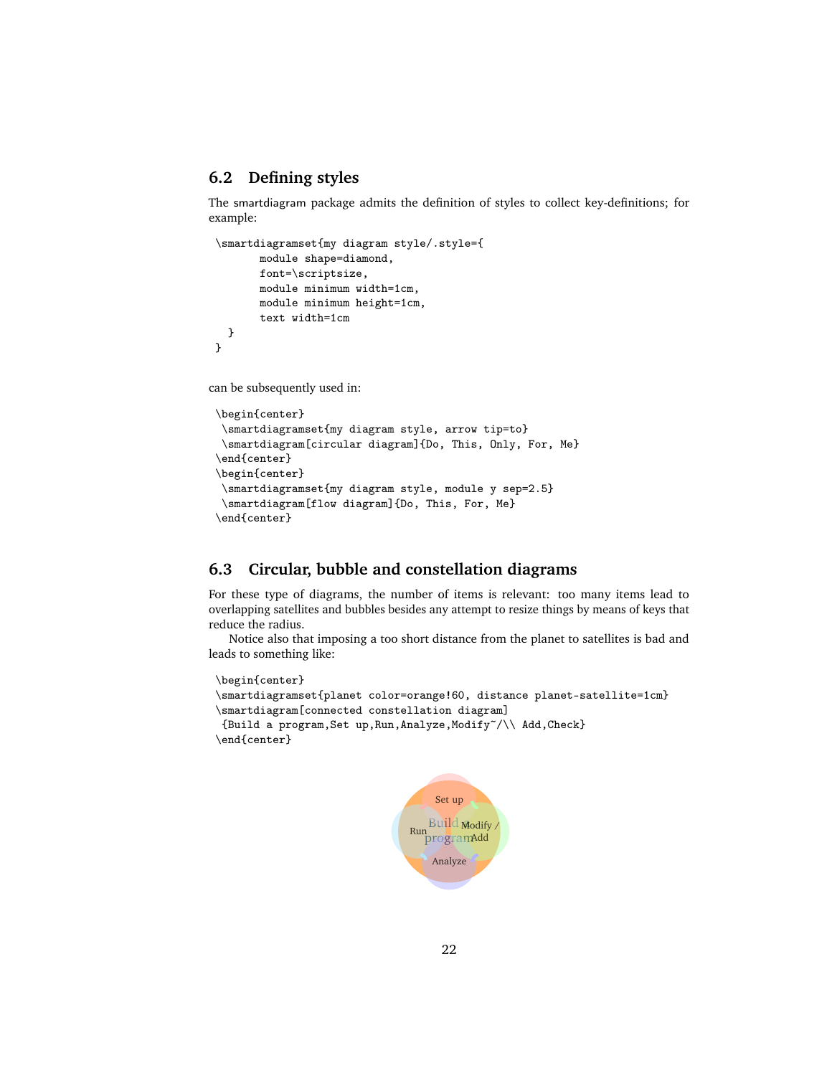## <span id="page-21-0"></span>**6.2 Defining styles**

The smartdiagram package admits the definition of styles to collect key-definitions; for example:

```
\smartdiagramset{my diagram style/.style={
       module shape=diamond,
       font=\scriptsize,
       module minimum width=1cm,
       module minimum height=1cm,
       text width=1cm
  }
}
```
can be subsequently used in:

```
\begin{center}
 \smartdiagramset{my diagram style, arrow tip=to}
 \smartdiagram[circular diagram]{Do, This, Only, For, Me}
\end{center}
\begin{center}
 \smartdiagramset{my diagram style, module y sep=2.5}
\smartdiagram[flow diagram]{Do, This, For, Me}
\end{center}
```
## <span id="page-21-1"></span>**6.3 Circular, bubble and constellation diagrams**

For these type of diagrams, the number of items is relevant: too many items lead to overlapping satellites and bubbles besides any attempt to resize things by means of keys that reduce the radius.

Notice also that imposing a too short distance from the planet to satellites is bad and leads to something like:

```
\begin{center}
\smartdiagramset{planet color=orange!60, distance planet-satellite=1cm}
\smartdiagram[connected constellation diagram]
{Build a program,Set up,Run,Analyze,Modify~/\\ Add,Check}
\end{center}
```
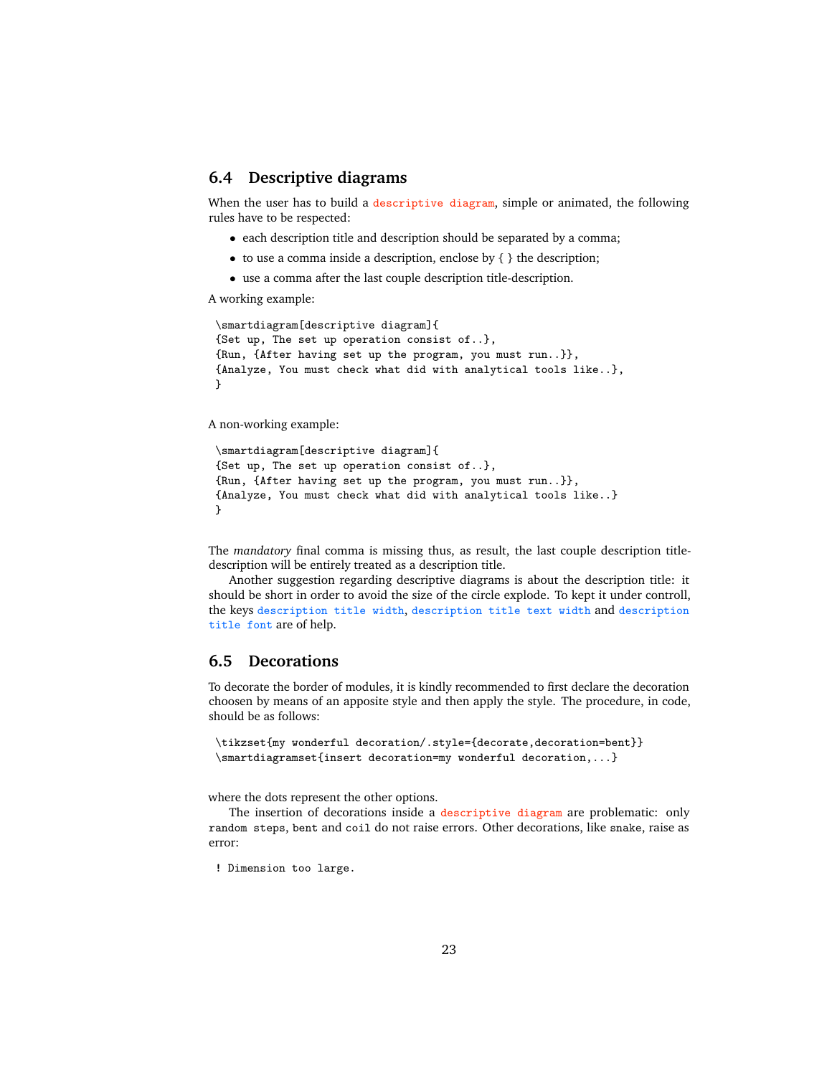## <span id="page-22-0"></span>**6.4 Descriptive diagrams**

When the user has to build a descriptive diagram, simple or animated, the following rules have to be respected:

- each description title and description should be separated by a comma;
- to use a comma inside a description, enclose by  $\{\}$  the description;
- use a comma after the last couple description title-description.

A working example:

```
\smartdiagram[descriptive diagram]{
{Set up, The set up operation consist of..},
{Run, {After having set up the program, you must run..}},
{Analyze, You must check what did with analytical tools like..},
}
```
A non-working example:

```
\smartdiagram[descriptive diagram]{
{Set up, The set up operation consist of..},
{Run, {After having set up the program, you must run..}},
{Analyze, You must check what did with analytical tools like..}
}
```
The *mandatory* final comma is missing thus, as result, the last couple description titledescription will be entirely treated as a description title.

Another suggestion regarding descriptive diagrams is about the description title: it should be short in order to avoid the size of the circle explode. To kept it under controll, the keys description title width, description title text width and description title font are of help.

#### <span id="page-22-1"></span>**6.5 Decorations**

To decorate the border of modules, it is kindly recommended to first declare the decoration choosen by means of an apposite style and then apply the style. The procedure, in code, should be as follows:

```
\tikzset{my wonderful decoration/.style={decorate,decoration=bent}}
\smartdiagramset{insert decoration=my wonderful decoration,...}
```
where the dots represent the other options.

The insertion of decorations inside a descriptive diagram are problematic: only random steps, bent and coil do not raise errors. Other decorations, like snake, raise as error:

```
! Dimension too large.
```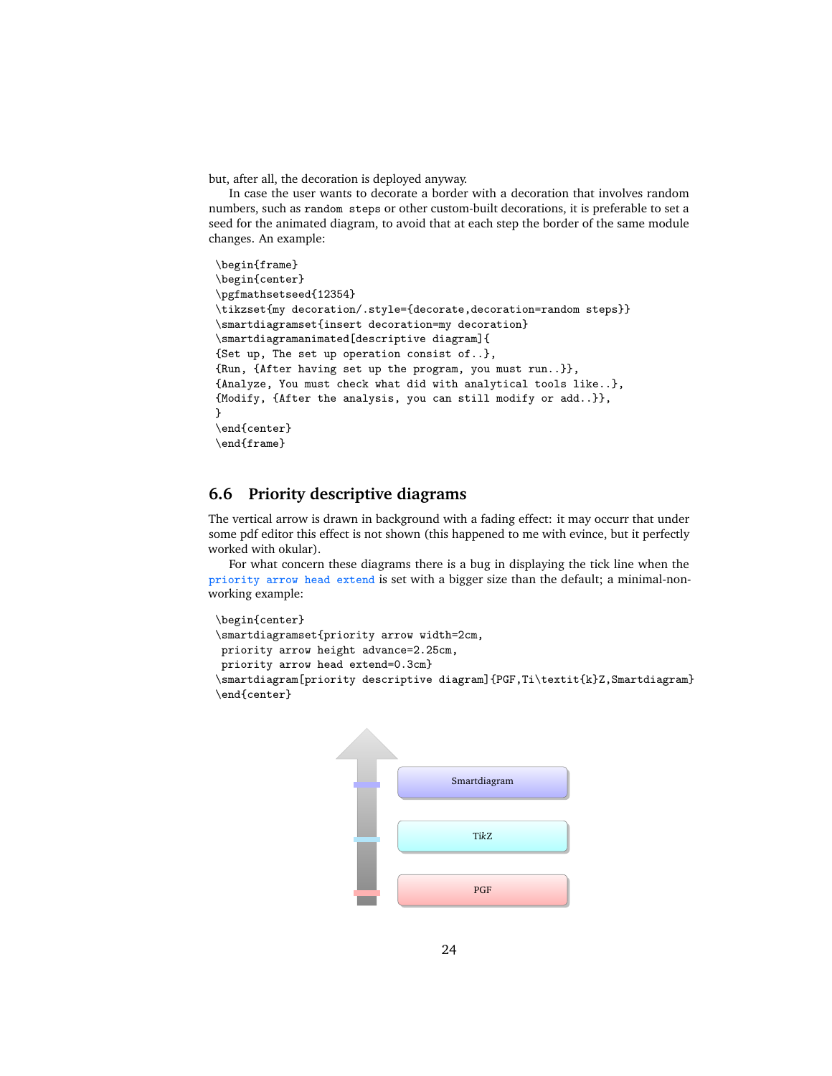but, after all, the decoration is deployed anyway.

In case the user wants to decorate a border with a decoration that involves random numbers, such as random steps or other custom-built decorations, it is preferable to set a seed for the animated diagram, to avoid that at each step the border of the same module changes. An example:

```
\begin{frame}
\begin{center}
\pgfmathsetseed{12354}
\tikzset{my decoration/.style={decorate,decoration=random steps}}
\smartdiagramset{insert decoration=my decoration}
\smartdiagramanimated[descriptive diagram]{
{Set up, The set up operation consist of..},
{Run, {After having set up the program, you must run..}},
{Analyze, You must check what did with analytical tools like..},
{Modify, {After the analysis, you can still modify or add..}},
}
\end{center}
\end{frame}
```
## <span id="page-23-0"></span>**6.6 Priority descriptive diagrams**

The vertical arrow is drawn in background with a fading effect: it may occurr that under some pdf editor this effect is not shown (this happened to me with evince, but it perfectly worked with okular).

For what concern these diagrams there is a bug in displaying the tick line when the priority arrow head extend is set with a bigger size than the default; a minimal-nonworking example:

```
\begin{center}
\smartdiagramset{priority arrow width=2cm,
priority arrow height advance=2.25cm,
priority arrow head extend=0.3cm}
\smartdiagram[priority descriptive diagram]{PGF,Ti\textit{k}Z,Smartdiagram}
\end{center}
```
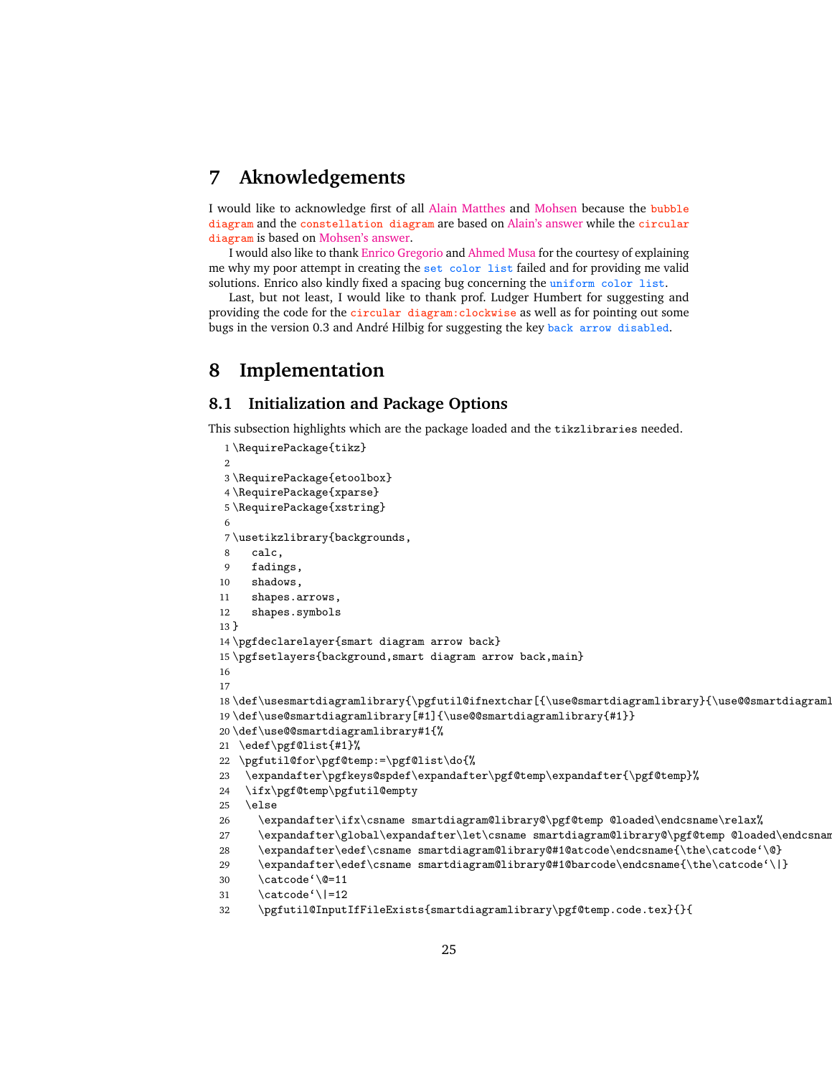## <span id="page-24-0"></span>**7 Aknowledgements**

I would like to acknowledge first of all [Alain Matthes](http://tex.stackexchange.com/users/3144/alain-matthes) and [Mohsen](http://tex.stackexchange.com/users/4956/mohsen) because the bubble diagram and the constellation diagram are based on [Alain's answer](http://tex.stackexchange.com/questions/52394/high-level-macros-and-environments-based-on-tikz?#52408) while the circular diagram is based on [Mohsen's answer.](http://tex.stackexchange.com/questions/52394/high-level-macros-and-environments-based-on-tikz?#52972)

I would also like to thank [Enrico Gregorio](http://tex.stackexchange.com/users/4427/egreg) and [Ahmed Musa](http://tex.stackexchange.com/users/994/ahmed-musa) for the courtesy of explaining me why my poor attempt in creating the set color list failed and for providing me valid solutions. Enrico also kindly fixed a spacing bug concerning the uniform color list.

Last, but not least, I would like to thank prof. Ludger Humbert for suggesting and providing the code for the circular diagram:clockwise as well as for pointing out some bugs in the version 0.3 and André Hilbig for suggesting the key back arrow disabled.

## <span id="page-24-1"></span>**8 Implementation**

## <span id="page-24-2"></span>**8.1 Initialization and Package Options**

This subsection highlights which are the package loaded and the tikzlibraries needed.

```
1 \RequirePackage{tikz}
\overline{2}3 \RequirePackage{etoolbox}
4 \RequirePackage{xparse}
5 \RequirePackage{xstring}
6
7 \usetikzlibrary{backgrounds,
8 calc,
9 fadings,
10 shadows,
11 shapes.arrows,
12 shapes.symbols
13 }
14 \pgfdeclarelayer{smart diagram arrow back}
15 \pgfsetlayers{background,smart diagram arrow back,main}
16
17
18 \def\usesmartdiagramlibrary{\pgfutil@ifnextchar[{\use@smartdiagramlibrary}{\use@@smartdiagramlibrary}}%}
19 \def\use@smartdiagramlibrary[#1]{\use@@smartdiagramlibrary{#1}}
20 \def\use@@smartdiagramlibrary#1{%
21 \edef\pgf@list{#1}%
22 \pgfutil@for\pgf@temp:=\pgf@list\do{%
23 \expandafter\pgfkeys@spdef\expandafter\pgf@temp\expandafter{\pgf@temp}%
24 \ifx\pgf@temp\pgfutil@empty
25 \else
26 \expandafter\ifx\csname smartdiagram@library@\pgf@temp @loaded\endcsname\relax%
27 \expandafter\global\expandafter\let\csname smartdiagram@library@\pgf@temp @loaded\endcsnam
28 \expandafter\edef\csname smartdiagram@library@#1@atcode\endcsname{\the\catcode'\@}
29 \expandafter\edef\csname smartdiagram@library@#1@barcode\endcsname{\the\catcode'\|}
30 \catcode'\@=11
31 \catcode'\|=12
32 \pgfutil@InputIfFileExists{smartdiagramlibrary\pgf@temp.code.tex}{}{
```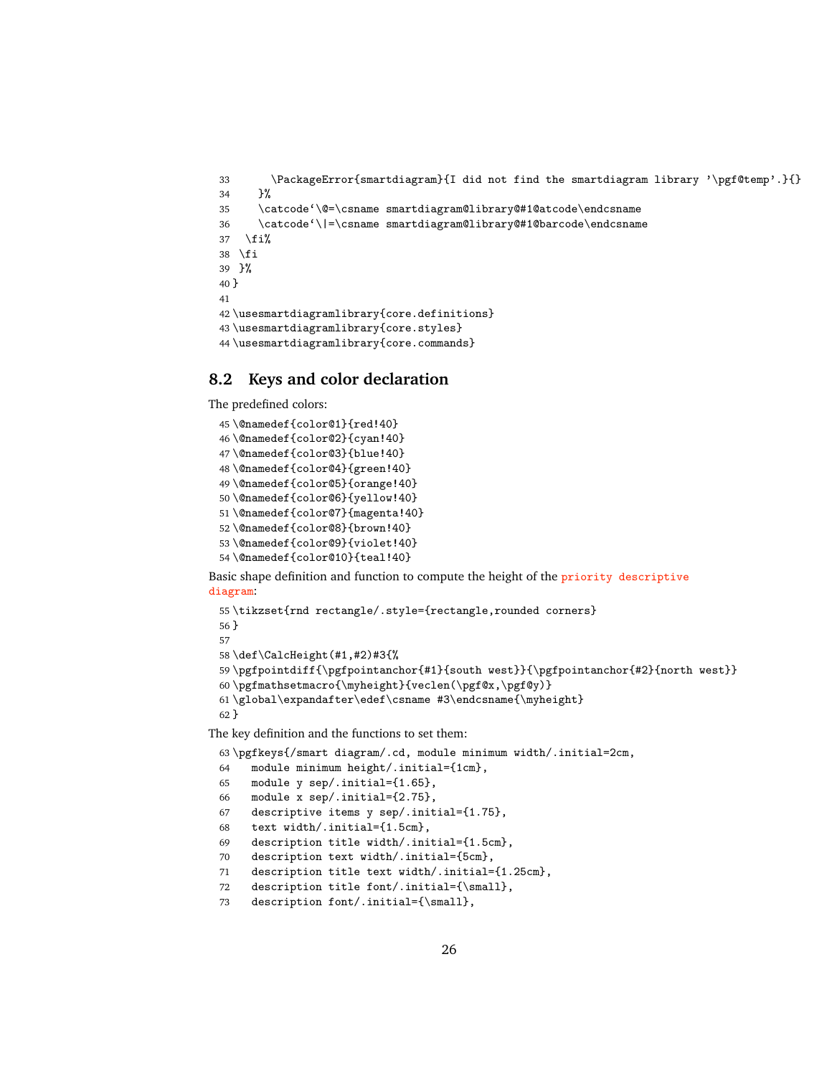```
33 \PackageError{smartdiagram}{I did not find the smartdiagram library '\pgf@temp'.}{}
34 }%
35 \catcode'\@=\csname smartdiagram@library@#1@atcode\endcsname
36 \catcode'\|=\csname smartdiagram@library@#1@barcode\endcsname
37 \fi%
38 \fi
39 }%
40 }
41
42 \usesmartdiagramlibrary{core.definitions}
43 \usesmartdiagramlibrary{core.styles}
44 \usesmartdiagramlibrary{core.commands}
```
## <span id="page-25-0"></span>**8.2 Keys and color declaration**

The predefined colors:

```
45 \@namedef{color@1}{red!40}
46 \@namedef{color@2}{cyan!40}
47 \@namedef{color@3}{blue!40}
48 \@namedef{color@4}{green!40}
49 \@namedef{color@5}{orange!40}
50 \@namedef{color@6}{yellow!40}
51 \@namedef{color@7}{magenta!40}
52 \@namedef{color@8}{brown!40}
53 \@namedef{color@9}{violet!40}
54 \@namedef{color@10}{teal!40}
```
Basic shape definition and function to compute the height of the priority descriptive diagram:

```
55 \tikzset{rnd rectangle/.style={rectangle,rounded corners}
56 }
57
58 \def\CalcHeight(#1,#2)#3{%
59 \pgfpointdiff{\pgfpointanchor{#1}{south west}}{\pgfpointanchor{#2}{north west}}
60 \pgfmathsetmacro{\myheight}{veclen(\pgf@x,\pgf@y)}
61\global\expandafter\edef\csname #3\endcsname{\myheight}
62 }
```
The key definition and the functions to set them:

```
63 \pgfkeys{/smart diagram/.cd, module minimum width/.initial=2cm,
64 module minimum height/.initial={1cm},
65 module y sep/.initial={1.65},
66 module x sep/.initial={2.75},
67 descriptive items y sep/.initial={1.75},
68 text width/.initial={1.5cm},
69 description title width/.initial={1.5cm},
70 description text width/.initial={5cm},
71 description title text width/.initial={1.25cm},
72 description title font/.initial={\small},
73 description font/.initial={\small},
```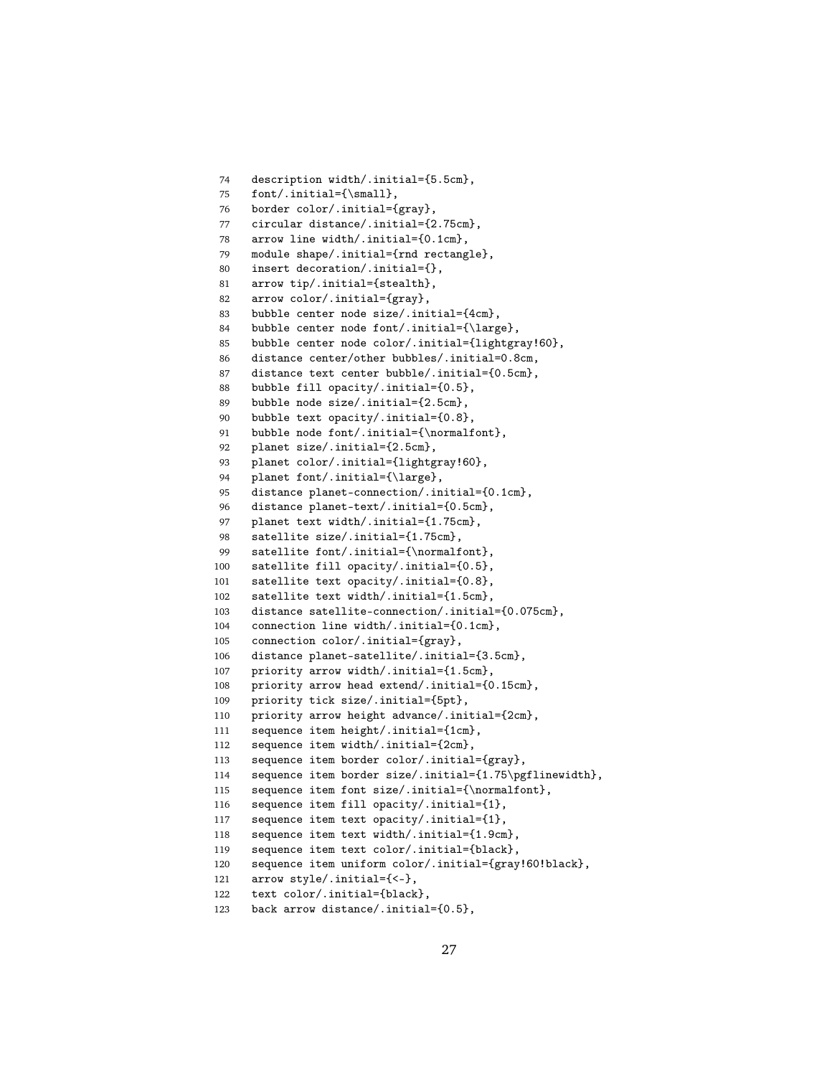```
74 description width/.initial={5.5cm},
75 font/.initial={\small},
76 border color/.initial={gray},
77 circular distance/.initial={2.75cm},
78 arrow line width/.initial={0.1cm},
79 module shape/.initial={rnd rectangle},
80 insert decoration/.initial={},
81 arrow tip/.initial={stealth},
82 arrow color/.initial={gray},
83 bubble center node size/.initial={4cm},
84 bubble center node font/.initial={\large},
85 bubble center node color/.initial={lightgray!60},
86 distance center/other bubbles/.initial=0.8cm,
87 distance text center bubble/.initial={0.5cm},
88 bubble fill opacity/.initial={0.5},
89 bubble node size/.initial={2.5cm},
90 bubble text opacity/.initial={0.8},
91 bubble node font/.initial={\normalfont},
92 planet size/.initial={2.5cm},
93 planet color/.initial={lightgray!60},
94 planet font/.initial={\large},
95 distance planet-connection/.initial={0.1cm},
96 distance planet-text/.initial={0.5cm},
97 planet text width/.initial={1.75cm},
98 satellite size/.initial={1.75cm},
99 satellite font/.initial={\normalfont},
100 satellite fill opacity/.initial={0.5},
101 satellite text opacity/.initial={0.8},
102 satellite text width/.initial={1.5cm},
103 distance satellite-connection/.initial={0.075cm},
104 connection line width/.initial={0.1cm},
105 connection color/.initial={gray},
106 distance planet-satellite/.initial={3.5cm},
107 priority arrow width/.initial={1.5cm},
108 priority arrow head extend/.initial={0.15cm},
109 priority tick size/.initial={5pt},
110 priority arrow height advance/.initial={2cm},
111 sequence item height/.initial={1cm},
112 sequence item width/.initial={2cm},
113 sequence item border color/.initial={gray},
114 sequence item border size/.initial={1.75\pgflinewidth},
115 sequence item font size/.initial={\normalfont},
116 sequence item fill opacity/.initial={1},
117 sequence item text opacity/.initial={1},
118 sequence item text width/.initial={1.9cm},
119 sequence item text color/.initial={black},
120 sequence item uniform color/.initial={gray!60!black},
121 arrow style/.initial={<-},
122 text color/.initial={black},
123 back arrow distance/.initial={0.5},
```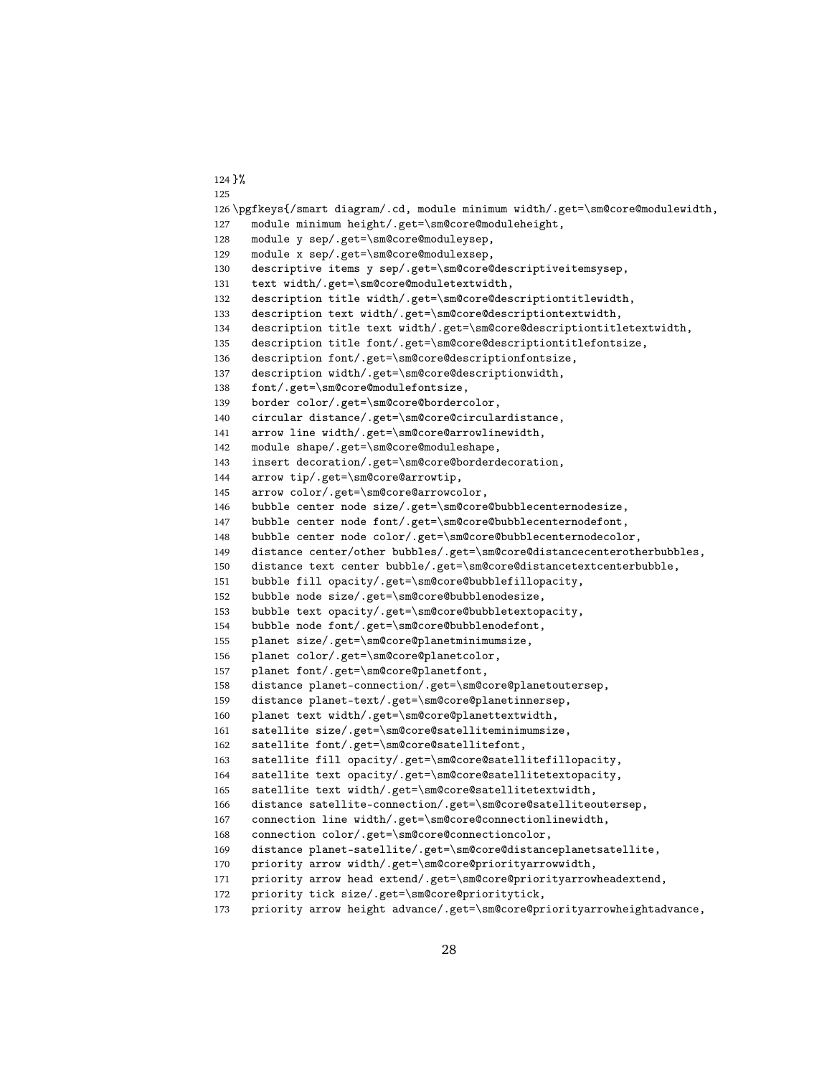```
124 }%
125
126 \pgfkeys{/smart diagram/.cd, module minimum width/.get=\sm@core@modulewidth,
127 module minimum height/.get=\sm@core@moduleheight,
128 module y sep/.get=\sm@core@moduleysep,
129 module x sep/.get=\sm@core@modulexsep,
130 descriptive items y sep/.get=\sm@core@descriptiveitemsysep,
131 text width/.get=\sm@core@moduletextwidth,
132 description title width/.get=\sm@core@descriptiontitlewidth,
133 description text width/.get=\sm@core@descriptiontextwidth,
134 description title text width/.get=\sm@core@descriptiontitletextwidth,
135 description title font/.get=\sm@core@descriptiontitlefontsize,
136 description font/.get=\sm@core@descriptionfontsize,
137 description width/.get=\sm@core@descriptionwidth,
138 font/.get=\sm@core@modulefontsize,
139 border color/.get=\sm@core@bordercolor,
140 circular distance/.get=\sm@core@circulardistance,
141 arrow line width/.get=\sm@core@arrowlinewidth,
142 module shape/.get=\sm@core@moduleshape,
143 insert decoration/.get=\sm@core@borderdecoration,
144 arrow tip/.get=\sm@core@arrowtip,
145 arrow color/.get=\sm@core@arrowcolor,
146 bubble center node size/.get=\sm@core@bubblecenternodesize,
147 bubble center node font/.get=\sm@core@bubblecenternodefont,
148 bubble center node color/.get=\sm@core@bubblecenternodecolor,
149 distance center/other bubbles/.get=\sm@core@distancecenterotherbubbles,
150 distance text center bubble/.get=\sm@core@distancetextcenterbubble,
151 bubble fill opacity/.get=\sm@core@bubblefillopacity,
152 bubble node size/.get=\sm@core@bubblenodesize,
153 bubble text opacity/.get=\sm@core@bubbletextopacity,
154 bubble node font/.get=\sm@core@bubblenodefont,
155 planet size/.get=\sm@core@planetminimumsize,
156 planet color/.get=\sm@core@planetcolor,
157 planet font/.get=\sm@core@planetfont,
158 distance planet-connection/.get=\sm@core@planetoutersep,
159 distance planet-text/.get=\sm@core@planetinnersep,
160 planet text width/.get=\sm@core@planettextwidth,
161 satellite size/.get=\sm@core@satelliteminimumsize,
162 satellite font/.get=\sm@core@satellitefont,
163 satellite fill opacity/.get=\sm@core@satellitefillopacity,
164 satellite text opacity/.get=\sm@core@satellitetextopacity,
165 satellite text width/.get=\sm@core@satellitetextwidth,
166 distance satellite-connection/.get=\sm@core@satelliteoutersep,
167 connection line width/.get=\sm@core@connectionlinewidth,
168 connection color/.get=\sm@core@connectioncolor,
169 distance planet-satellite/.get=\sm@core@distanceplanetsatellite,
170 priority arrow width/.get=\sm@core@priorityarrowwidth,
171 priority arrow head extend/.get=\sm@core@priorityarrowheadextend,
172 priority tick size/.get=\sm@core@prioritytick,
```

```
173 priority arrow height advance/.get=\sm@core@priorityarrowheightadvance,
```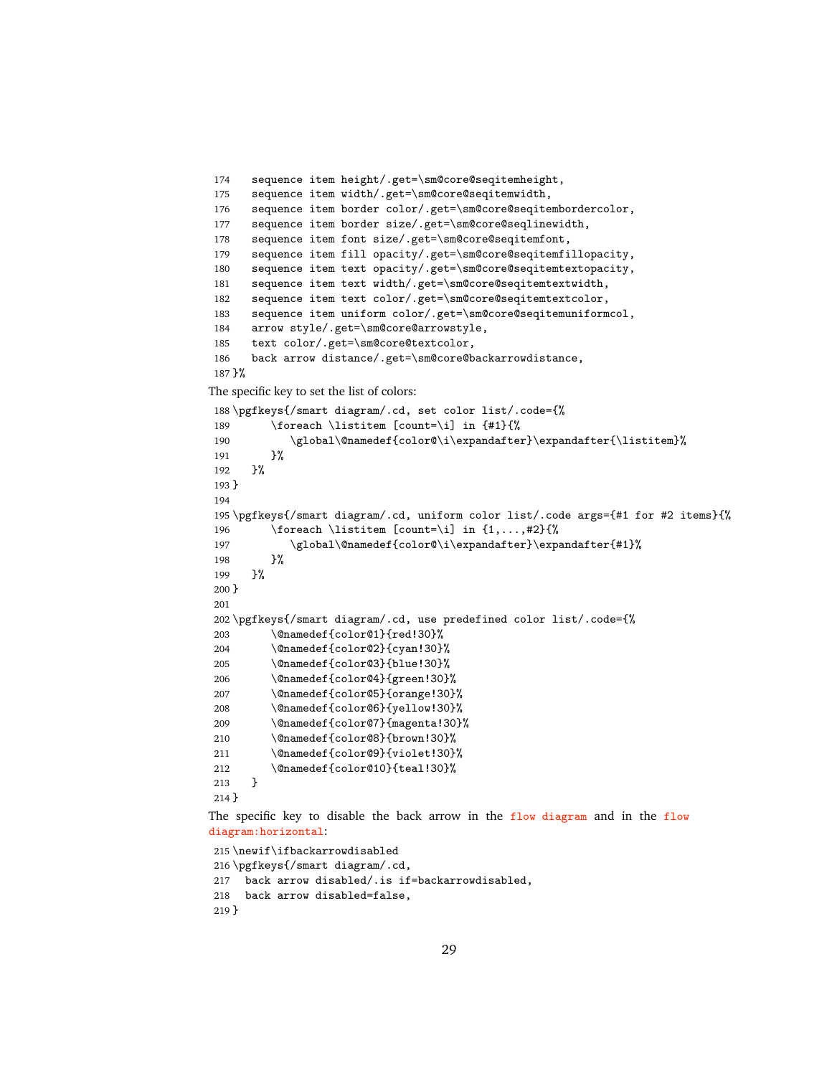```
174 sequence item height/.get=\sm@core@seqitemheight,
175 sequence item width/.get=\sm@core@seqitemwidth,
176 sequence item border color/.get=\sm@core@seqitembordercolor,
177 sequence item border size/.get=\sm@core@seqlinewidth,
178 sequence item font size/.get=\sm@core@seqitemfont,
179 sequence item fill opacity/.get=\sm@core@seqitemfillopacity,
180 sequence item text opacity/.get=\sm@core@seqitemtextopacity,
181 sequence item text width/.get=\sm@core@seqitemtextwidth,
182 sequence item text color/.get=\sm@core@seqitemtextcolor,
183 sequence item uniform color/.get=\sm@core@seqitemuniformcol,
184 arrow style/.get=\sm@core@arrowstyle,
185 text color/.get=\sm@core@textcolor,
186 back arrow distance/.get=\sm@core@backarrowdistance,
187 }%
The specific key to set the list of colors:
188 \pgfkeys{/smart diagram/.cd, set color list/.code={%
189 \foreach \listitem [count=\i] in {#1}{%
190 \global\@namedef{color@\i\expandafter}\expandafter{\listitem}%
```

```
191 }%
192 }%
193 }
194
195 \pgfkeys{/smart diagram/.cd, uniform color list/.code args={#1 for #2 items}{%
196 \foreach \listitem [count=\i] in \{1,\ldots,\#2\}\{\%197 \global\@namedef{color@\i\expandafter}\expandafter{#1}%
198 }%
199 }%
200 }
201
202 \pgfkeys{/smart diagram/.cd, use predefined color list/.code={%
203 \@namedef{color@1}{red!30}%
204 \@namedef{color@2}{cyan!30}%
205 \@namedef{color@3}{blue!30}%
206 \@namedef{color@4}{green!30}%
207 \@namedef{color@5}{orange!30}%
208 \@namedef{color@6}{yellow!30}%
209 \@namedef{color@7}{magenta!30}%
210 \@namedef{color@8}{brown!30}%
211 \@namedef{color@9}{violet!30}%
212 \@namedef{color@10}{teal!30}%
213 }
214 }
```
The specific key to disable the back arrow in the flow diagram and in the flow diagram:horizontal:

```
215 \newif\ifbackarrowdisabled
216 \pgfkeys{/smart diagram/.cd,
217 back arrow disabled/.is if=backarrowdisabled,
218 back arrow disabled=false,
219 }
```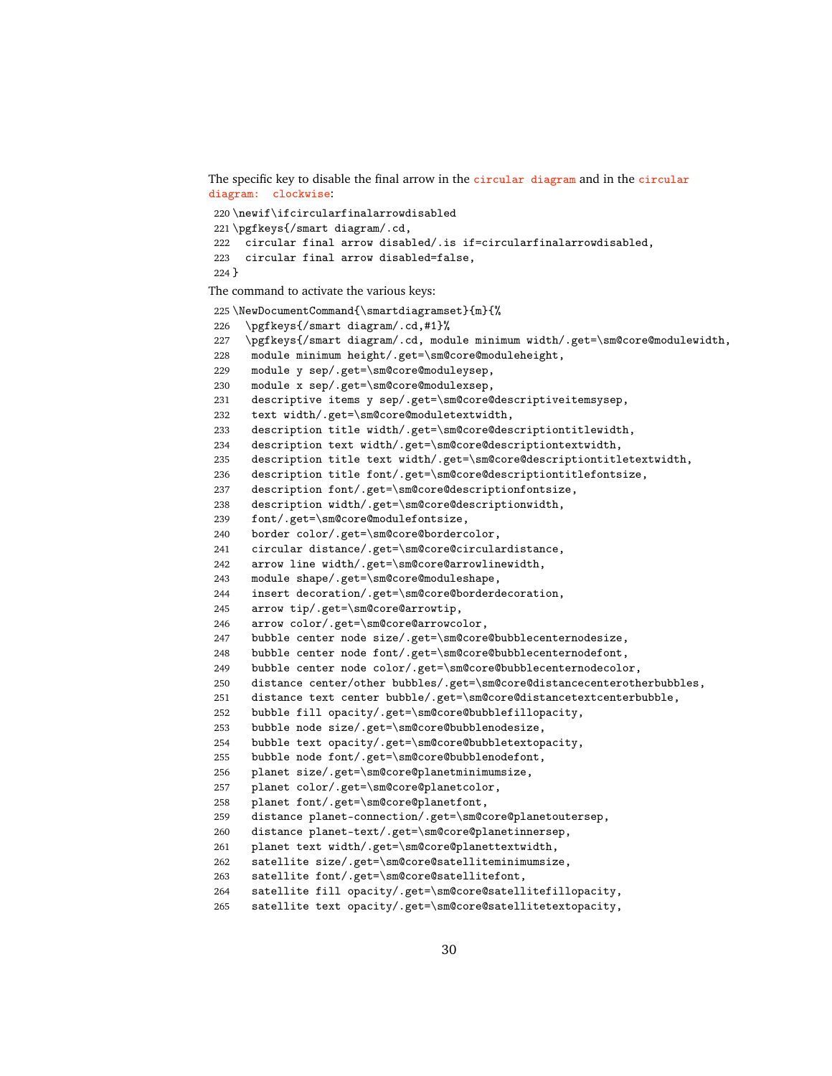The specific key to disable the final arrow in the circular diagram and in the circular diagram: clockwise: \newif\ifcircularfinalarrowdisabled \pgfkeys{/smart diagram/.cd, circular final arrow disabled/.is if=circularfinalarrowdisabled, circular final arrow disabled=false, } The command to activate the various keys: 225 \NewDocumentCommand{\smartdiagramset}{m}{% \pgfkeys{/smart diagram/.cd,#1}% \pgfkeys{/smart diagram/.cd, module minimum width/.get=\sm@core@modulewidth, module minimum height/.get=\sm@core@moduleheight, module y sep/.get=\sm@core@moduleysep, module x sep/.get=\sm@core@modulexsep, descriptive items y sep/.get=\sm@core@descriptiveitemsysep, text width/.get=\sm@core@moduletextwidth, description title width/.get=\sm@core@descriptiontitlewidth, description text width/.get=\sm@core@descriptiontextwidth, description title text width/.get=\sm@core@descriptiontitletextwidth, description title font/.get=\sm@core@descriptiontitlefontsize, description font/.get=\sm@core@descriptionfontsize, description width/.get=\sm@core@descriptionwidth, font/.get=\sm@core@modulefontsize, border color/.get=\sm@core@bordercolor, circular distance/.get=\sm@core@circulardistance, arrow line width/.get=\sm@core@arrowlinewidth, module shape/.get=\sm@core@moduleshape, insert decoration/.get=\sm@core@borderdecoration, arrow tip/.get=\sm@core@arrowtip, arrow color/.get=\sm@core@arrowcolor, bubble center node size/.get=\sm@core@bubblecenternodesize, bubble center node font/.get=\sm@core@bubblecenternodefont, bubble center node color/.get=\sm@core@bubblecenternodecolor, distance center/other bubbles/.get=\sm@core@distancecenterotherbubbles, distance text center bubble/.get=\sm@core@distancetextcenterbubble, bubble fill opacity/.get=\sm@core@bubblefillopacity, bubble node size/.get=\sm@core@bubblenodesize, bubble text opacity/.get=\sm@core@bubbletextopacity, bubble node font/.get=\sm@core@bubblenodefont, planet size/.get=\sm@core@planetminimumsize, planet color/.get=\sm@core@planetcolor, planet font/.get=\sm@core@planetfont, distance planet-connection/.get=\sm@core@planetoutersep, distance planet-text/.get=\sm@core@planetinnersep, planet text width/.get=\sm@core@planettextwidth, satellite size/.get=\sm@core@satelliteminimumsize, satellite font/.get=\sm@core@satellitefont, satellite fill opacity/.get=\sm@core@satellitefillopacity, satellite text opacity/.get=\sm@core@satellitetextopacity,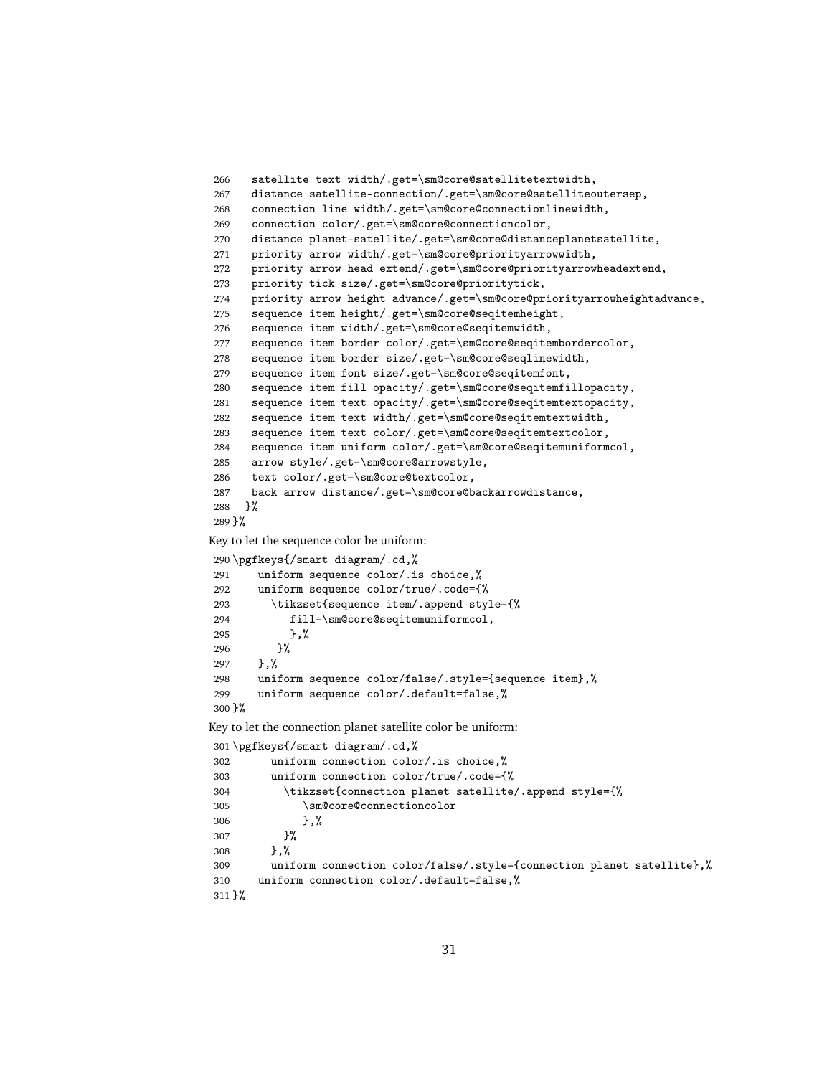```
266 satellite text width/.get=\sm@core@satellitetextwidth,
267 distance satellite-connection/.get=\sm@core@satelliteoutersep,
268 connection line width/.get=\sm@core@connectionlinewidth,
269 connection color/.get=\sm@core@connectioncolor,
270 distance planet-satellite/.get=\sm@core@distanceplanetsatellite,
271 priority arrow width/.get=\sm@core@priorityarrowwidth,
272 priority arrow head extend/.get=\sm@core@priorityarrowheadextend,
273 priority tick size/.get=\sm@core@prioritytick,
274 priority arrow height advance/.get=\sm@core@priorityarrowheightadvance,
275 sequence item height/.get=\sm@core@seqitemheight,
276 sequence item width/.get=\sm@core@seqitemwidth,
277 sequence item border color/.get=\sm@core@seqitembordercolor,
278 sequence item border size/.get=\sm@core@seqlinewidth,
279 sequence item font size/.get=\sm@core@seqitemfont,
280 sequence item fill opacity/.get=\sm@core@seqitemfillopacity,
281 sequence item text opacity/.get=\sm@core@seqitemtextopacity,<br>282 sequence item text width/.get=\sm@core@seqitemtextwidth.
       sequence item text width/.get=\sm@core@seqitemtextwidth,
283 sequence item text color/.get=\sm@core@seqitemtextcolor,
284 sequence item uniform color/.get=\sm@core@seqitemuniformcol,
285 arrow style/.get=\sm@core@arrowstyle,
286 text color/.get=\sm@core@textcolor,
287 back arrow distance/.get=\sm@core@backarrowdistance,
288 }%
289 }%
Key to let the sequence color be uniform:
290 \pgfkeys{/smart diagram/.cd,%
291 uniform sequence color/.is choice,%
292 uniform sequence color/true/.code={%
293 \tikzset{sequence item/.append style={%
294 fill=\sm@core@seqitemuniformcol,
295 },%
296 }%
297 },%
298 uniform sequence color/false/.style={sequence item},%<br>299 uniform sequence color/.default=false.%
        uniform sequence color/.default=false,%
300 }%
Key to let the connection planet satellite color be uniform:
301 \pgfkeys{/smart diagram/.cd,%
302 uniform connection color/.is choice,%<br>303 uniform connection color/true/.code={}
         uniform connection color/true/.code={%
304 \tikzset{connection planet satellite/.append style={%
305 \sm@core@connectioncolor
306 }, %
307 }%
308 },%
309 uniform connection color/false/.style={connection planet satellite},%
310 uniform connection color/.default=false,%
311 }%
```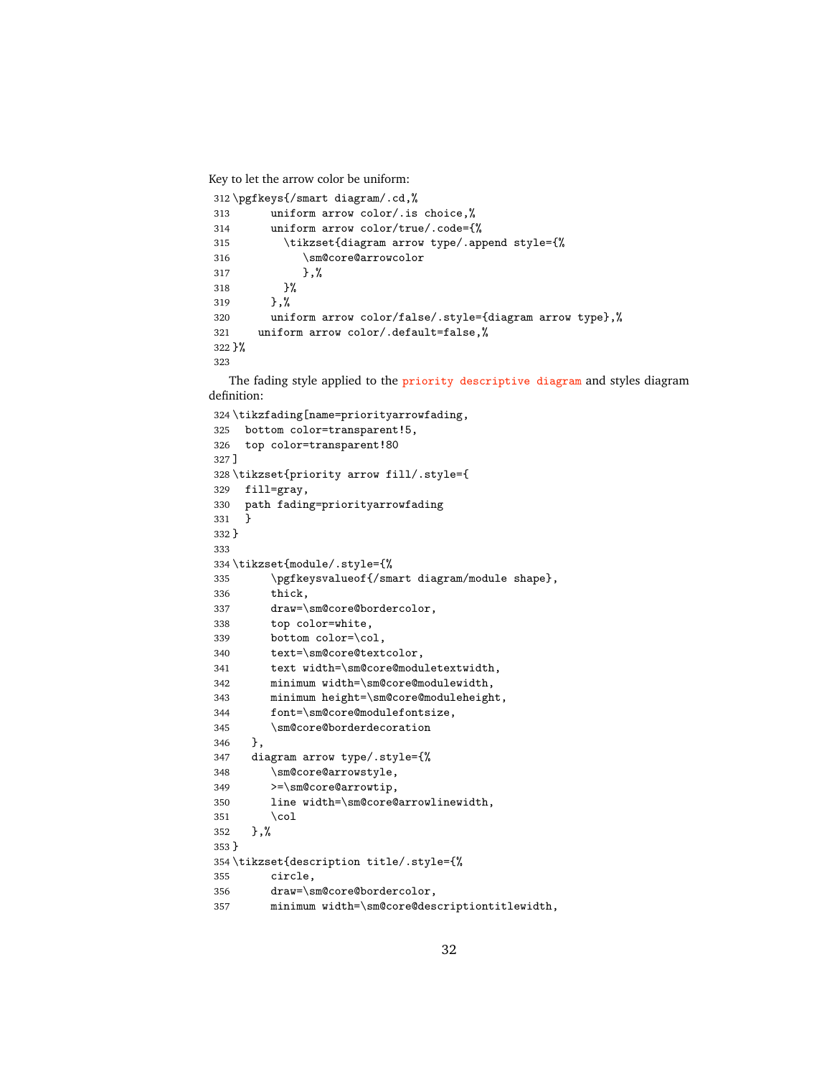Key to let the arrow color be uniform:

```
312 \pgfkeys{/smart diagram/.cd,%
313 uniform arrow color/.is choice,%
314 uniform arrow color/true/.code={%
315 \tikzset{diagram arrow type/.append style={%
316 \sm@core@arrowcolor
317 }, %
318 }%
319 },%
320 uniform arrow color/false/.style={diagram arrow type},%
321 uniform arrow color/.default=false,%
322 }%
323
```
The fading style applied to the priority descriptive diagram and styles diagram definition:

```
324 \tikzfading[name=priorityarrowfading,
325 bottom color=transparent!5,
326 top color=transparent!80
327 ]
328 \tikzset{priority arrow fill/.style={
329 fill=gray,
330 path fading=priorityarrowfading
331 }
332 }
333
334 \tikzset{module/.style={%
335 \pgfkeysvalueof{/smart diagram/module shape},
336 thick,
337 draw=\sm@core@bordercolor,
338 top color=white,
339 bottom color=\col,
340 text=\sm@core@textcolor,
341 text width=\sm@core@moduletextwidth,
342 minimum width=\sm@core@modulewidth,
343 minimum height=\sm@core@moduleheight,
344 font=\sm@core@modulefontsize,
345 \sm@core@borderdecoration
346 },
347 diagram arrow type/.style={%
348 \sm@core@arrowstyle,
349 >=\sm@core@arrowtip,
350 line width=\sm@core@arrowlinewidth,
351 \col
352 },%
353 }
354 \tikzset{description title/.style={%
355 circle,
356 draw=\sm@core@bordercolor,
357 minimum width=\sm@core@descriptiontitlewidth,
```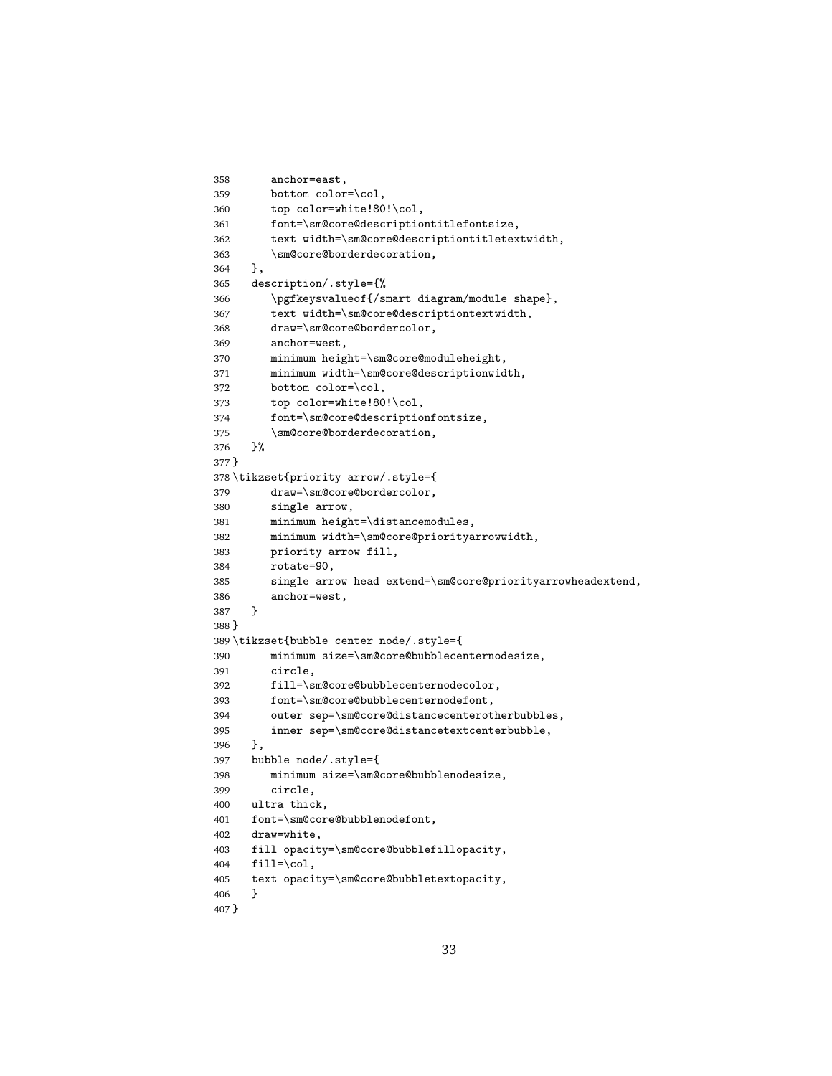```
358 anchor=east,
359 bottom color=\col,
360 top color=white!80!\col,
361 font=\sm@core@descriptiontitlefontsize,
362 text width=\sm@core@descriptiontitletextwidth,
363 \sm@core@borderdecoration,
364 },
365 description/.style={%
366 \pgfkeysvalueof{/smart diagram/module shape},
367 text width=\sm@core@descriptiontextwidth,
368 draw=\sm@core@bordercolor,
369 anchor=west,
370 minimum height=\sm@core@moduleheight,
371 minimum width=\sm@core@descriptionwidth,
372 bottom color=\col,
373 top color=white!80!\col,
374 font=\sm@core@descriptionfontsize,
375 \sm@core@borderdecoration,
376 }%
377 }
378 \tikzset{priority arrow/.style={
379 draw=\sm@core@bordercolor,
380 single arrow,
381 minimum height=\distancemodules,
382 minimum width=\sm@core@priorityarrowwidth,
383 priority arrow fill,
384 rotate=90,
385 single arrow head extend=\sm@core@priorityarrowheadextend,
386 anchor=west,
387 }
388 }
389 \tikzset{bubble center node/.style={
390 minimum size=\sm@core@bubblecenternodesize,
391 circle,
392 fill=\sm@core@bubblecenternodecolor,
393 font=\sm@core@bubblecenternodefont,
394 outer sep=\sm@core@distancecenterotherbubbles,
395 inner sep=\sm@core@distancetextcenterbubble,
396 },
397 bubble node/.style={
398 minimum size=\sm@core@bubblenodesize,
399 circle,
400 ultra thick,
401 font=\sm@core@bubblenodefont,
402 draw=white,
403 fill opacity=\sm@core@bubblefillopacity,
404 fill=\col,
405 text opacity=\sm@core@bubbletextopacity,
406 }
407 }
```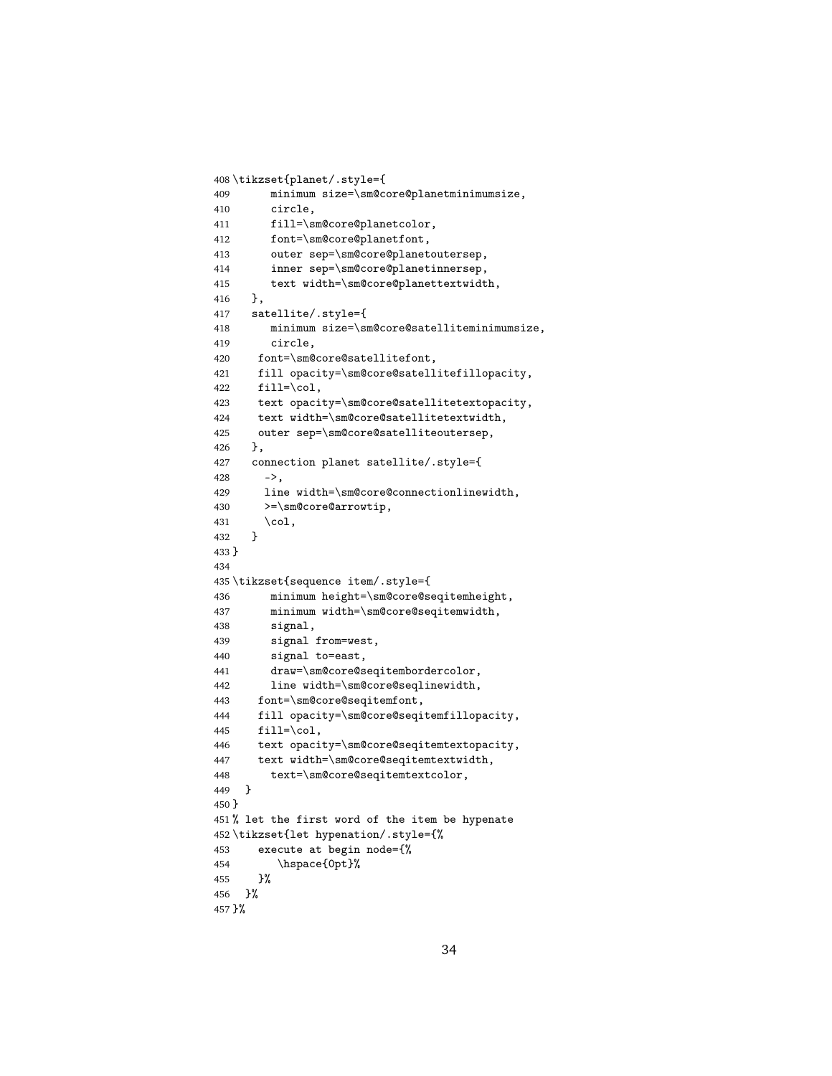```
408 \tikzset{planet/.style={
409 minimum size=\sm@core@planetminimumsize,
410 circle,
411 fill=\sm@core@planetcolor,
412 font=\sm@core@planetfont,
413 outer sep=\sm@core@planetoutersep,
414 inner sep=\sm@core@planetinnersep,
415 text width=\sm@core@planettextwidth,
416 },
417 satellite/.style={
418 minimum size=\sm@core@satelliteminimumsize,
419 circle,
420 font=\sm@core@satellitefont,
421 fill opacity=\sm@core@satellitefillopacity,
422 fill=\col,
423 text opacity=\sm@core@satellitetextopacity,
424 text width=\sm@core@satellitetextwidth,
425 outer sep=\sm@core@satelliteoutersep,
426 },
427 connection planet satellite/.style={
428 ->,
429 line width=\sm@core@connectionlinewidth,
430 >=\sm@core@arrowtip,
431 \col,
432 }
433 }
434
435 \tikzset{sequence item/.style={
436 minimum height=\sm@core@seqitemheight,
437 minimum width=\sm@core@seqitemwidth,
438 signal,
439 signal from=west,
440 signal to=east,
441 draw=\sm@core@seqitembordercolor,
442 line width=\sm@core@seqlinewidth,
443 font=\sm@core@seqitemfont,
444 fill opacity=\sm@core@seqitemfillopacity,
445 fill=\col,
446 text opacity=\sm@core@seqitemtextopacity,
447 text width=\sm@core@seqitemtextwidth,
448 text=\sm@core@seqitemtextcolor,
449 }
450 }
451 % let the first word of the item be hypenate
452 \tikzset{let hypenation/.style={%
453 execute at begin node={%
454 \hspace{0pt}%
455 }%
456 }%
457 }%
```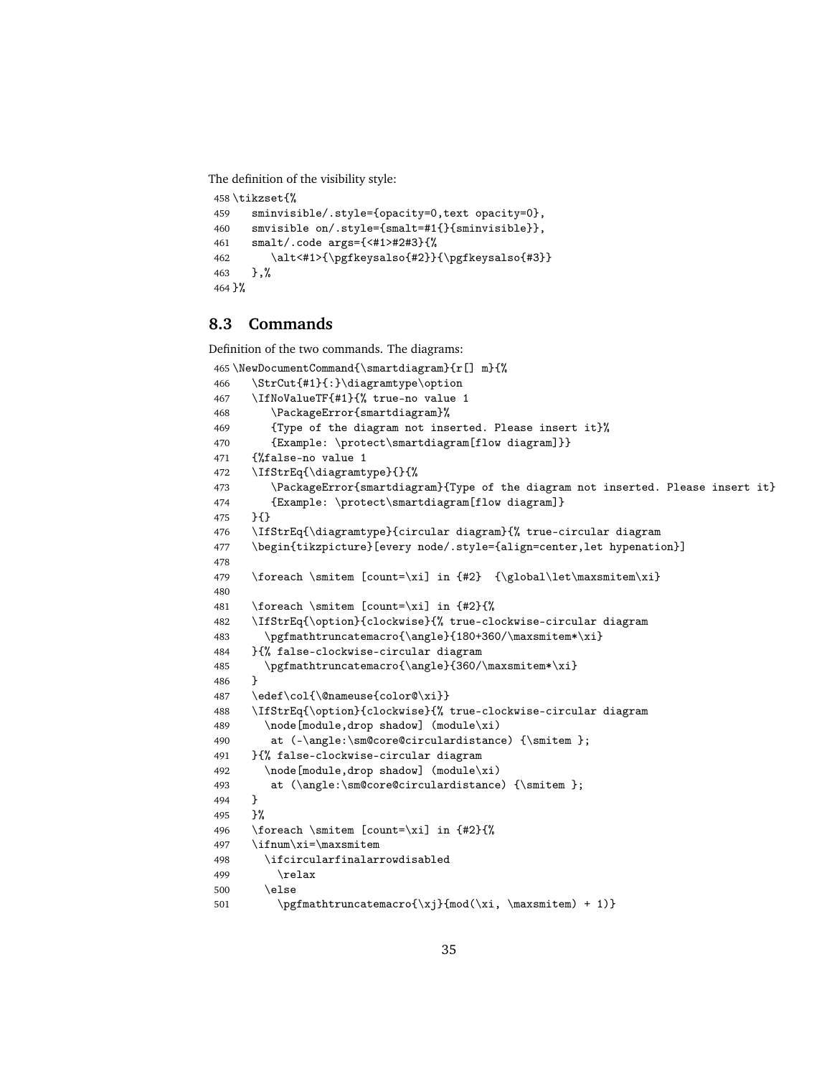The definition of the visibility style:

```
458 \tikzset{%
459 sminvisible/.style={opacity=0,text opacity=0},
460 smvisible on/.style={smalt=#1{}{sminvisible}},
461 smalt/.code args={<#1>#2#3}{%
462 \alt<#1>{\pgfkeysalso{#2}}{\pgfkeysalso{#3}}
463 },%
464 }%
```
#### <span id="page-34-0"></span>**8.3 Commands**

Definition of the two commands. The diagrams:

```
465 \NewDocumentCommand{\smartdiagram}{r[] m}{%
466 \StrCut{#1}{:}\diagramtype\option
467 \IfNoValueTF{#1}{% true-no value 1
468 \PackageError{smartdiagram}%
469 {Type of the diagram not inserted. Please insert it}%
470 {Example: \protect\smartdiagram[flow diagram]}}
471 {%false-no value 1
472 \IfStrEq{\diagramtype}{}{%
473 \PackageError{smartdiagram}{Type of the diagram not inserted. Please insert it}
474 {Example: \protect\smartdiagram[flow diagram]}
475 }{}
476 \IfStrEq{\diagramtype}{circular diagram}{% true-circular diagram
477 \begin{tikzpicture}[every node/.style={align=center,let hypenation}]
478
479 \foreach \smitem [count=\xi] in {#2} {\global\let\maxsmitem\xi}
480
481 \foreach \smitem [count=\xi] in {#2}{%
482 \IfStrEq{\option}{clockwise}{% true-clockwise-circular diagram
483 \pgfmathtruncatemacro{\angle}{180+360/\maxsmitem*\xi}
484 }{% false-clockwise-circular diagram
485 \pgfmathtruncatemacro{\angle}{360/\maxsmitem*\xi}
486 }
487 \edef\col{\@nameuse{color@\xi}}
488 \IfStrEq{\option}{clockwise}{% true-clockwise-circular diagram
489 \node[module,drop shadow] (module\xi)
490 at (-\angle:\sm@core@circulation) {\smitem };
491 }{% false-clockwise-circular diagram
492 \node[module,drop shadow] (module\xi)
493 at (\angle:\sm@core@circulardistance) {\smitem };
494 }
495 }%
496 \foreach \smitem [count=\xi] in {#2}{%
497 \ifnum\xi=\maxsmitem
498 \ifcircularfinalarrowdisabled
499 \relax
500 \else
501 \pgfmathtruncatemacro{\xj}{mod(\xi, \maxsmitem) + 1)}
```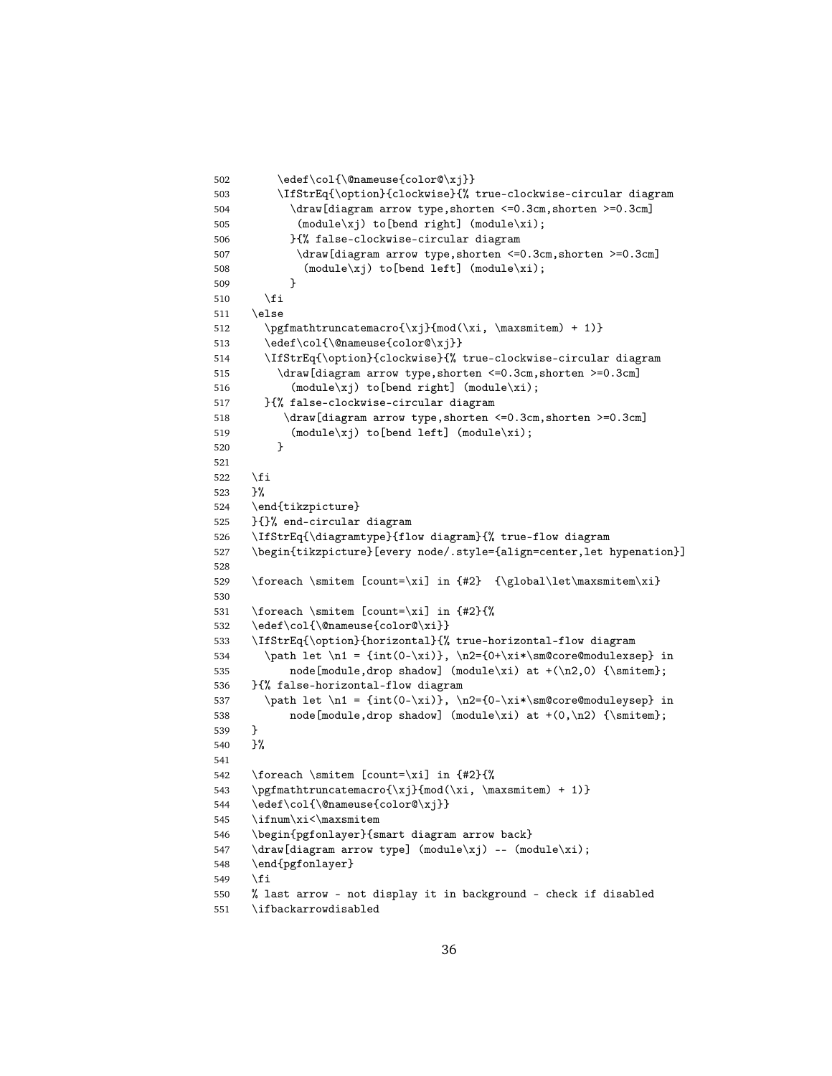```
502 \edef\col{\@nameuse{color@\xj}}
503 \IfStrEq{\option}{clockwise}{% true-clockwise-circular diagram
504 \draw[diagram arrow type,shorten <=0.3cm,shorten >=0.3cm]
505 (module\xj) to[bend right] (module\xi);
506 }{% false-clockwise-circular diagram
507 \draw[diagram arrow type, shorten <= 0.3cm, shorten >=0.3cm]
508 (module\xj) to[bend left] (module\xi);
509 }
510 \fi
511 \else
512 \pgfmathtruncatemacro{\xj}{mod(\xi, \maxsmitem) + 1)}
513 \edef\col{\@nameuse{color@\xj}}
514 \IfStrEq{\option}{clockwise}{% true-clockwise-circular diagram
515 \draw[diagram arrow type,shorten <=0.3cm,shorten >=0.3cm]
516 (module\xj) to[bend right] (module\xi);
517 }{% false-clockwise-circular diagram
518 \draw[diagram arrow type,shorten <=0.3cm,shorten >=0.3cm]
519 (module\xij) to[bend left] (module\xii);
520 }
521
522 \fi
523 }%
524 \end{tikzpicture}
525 }{}% end-circular diagram
526 \IfStrEq{\diagramtype}{flow diagram}{% true-flow diagram
527 \begin{tikzpicture}[every node/.style={align=center,let hypenation}]
528
529 \foreach \smitem [count=\xi] in {#2} {\global\let\maxsmitem\xi}
530
531 \foreach \smitem [count=\xi] in {#2}{%
532 \edef\col{\@nameuse{color@\xi}}
533 \IfStrEq{\option}{horizontal}{% true-horizontal-flow diagram
534 \path let \n1 = {int(0-\xi)}, \n2={0+\xi*\sm@core@modulexsep} in
535 node[module,drop shadow] (module\xi) at +(\n2,0) {\smitem};
536 }{% false-horizontal-flow diagram
537 \path let \n1 = {int(0-\xi)}, \n2={0-\xi*\sm@core@moduleysep} in
538 node[module,drop shadow] (module\xi) at +(0,\n2) {\smitem};
539 }
540 }%
541
542 \foreach \smitem [count=\xi] in {#2}{%
543 \pgfmathtruncatemacro{\xj}{mod(\xi, \maxsmitem) + 1)}
544 \edef\col{\@nameuse{color@\xj}}
545 \ifnum\xi<\maxsmitem
546 \begin{pgfonlayer}{smart diagram arrow back}
547 \draw[diagram arrow type] (module\xj) -- (module\xi);
548 \end{pgfonlayer}
549 \fi
550 % last arrow - not display it in background - check if disabled
551 \ifbackarrowdisabled
```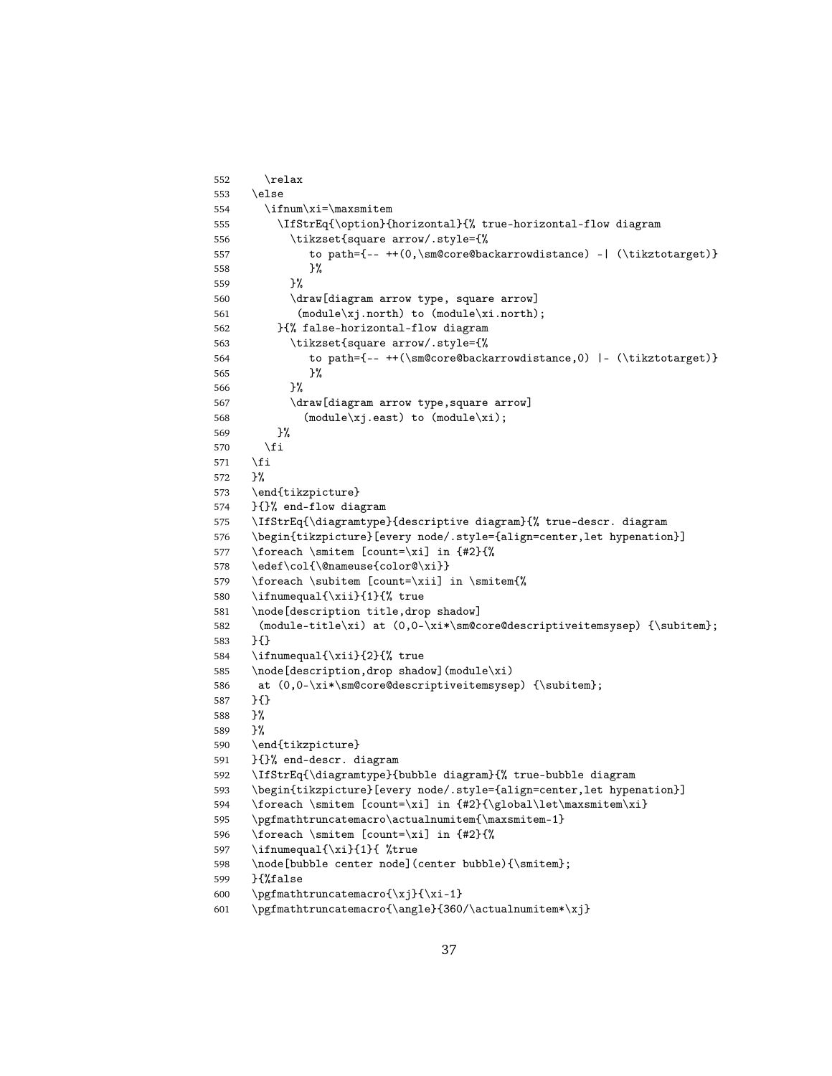```
552 \relax
553 \else
554 \ifnum\xi=\maxsmitem
555 \IfStrEq{\option}{horizontal}{% true-horizontal-flow diagram
556 \tikzset{square arrow/.style={%
557 to path={-- ++(0,\sm@core@backarrowdistance) -| (\tikztotarget)}
558 }%
559 }%
560 \draw[diagram arrow type, square arrow]
561 (module\xj.north) to (module\xi.north);
562 }{% false-horizontal-flow diagram
563 \tikzset{square arrow/.style={%
564 to path={-- ++(\sm@core@backarrowdistance,0) |- (\tikztotarget)}
565 }%
566 }%
567 \draw[diagram arrow type,square arrow]
568 (module\xj.east) to (module\xi);
569 }%
570 \fi
571 \fi
572 }%
573 \end{tikzpicture}
574 }{}% end-flow diagram
575 \IfStrEq{\diagramtype}{descriptive diagram}{% true-descr. diagram
576 \begin{tikzpicture}[every node/.style={align=center,let hypenation}]
577 \foreach \smitem [count=\xi] in {#2}{%
578 \edef\col{\@nameuse{color@\xi}}
579 \foreach \subitem [count=\xii] in \smitem{%
580 \ifnumequal{\xii}{1}{% true
581 \node[description title,drop shadow]
582 (module-title\xi) at (0,0-\xi*\sm@core@descriptiveitemsysep) {\subitem};
583 }{}
584 \ifnumequal{\xii}{2}{% true
585 \node[description,drop shadow](module\xi)
586 at (0,0-\xi*\smash{\text{descriptiveitemsysep}} {\sub{with} };
587 }{}
588 }%
589 }%
590 \end{tikzpicture}
591 }{}% end-descr. diagram
592 \IfStrEq{\diagramtype}{bubble diagram}{% true-bubble diagram
593 \begin{tikzpicture}[every node/.style={align=center,let hypenation}]
594 \foreach \smitem [count=\xi] in {#2}{\global\let\maxsmitem\xi}
595 \pgfmathtruncatemacro\actualnumitem{\maxsmitem-1}
596 \foreach \smitem [count=\xi] in {#2}{%
597 \ifnumequal{\xi}{1}{ %true
598 \node[bubble center node](center bubble){\smitem};
599 }{%false
600 \pgfmathtruncatemacro\{xj\}{\xi-1}
601 \pgfmathtruncatemacro{\angle}{360/\actualnumitem*\xj}
```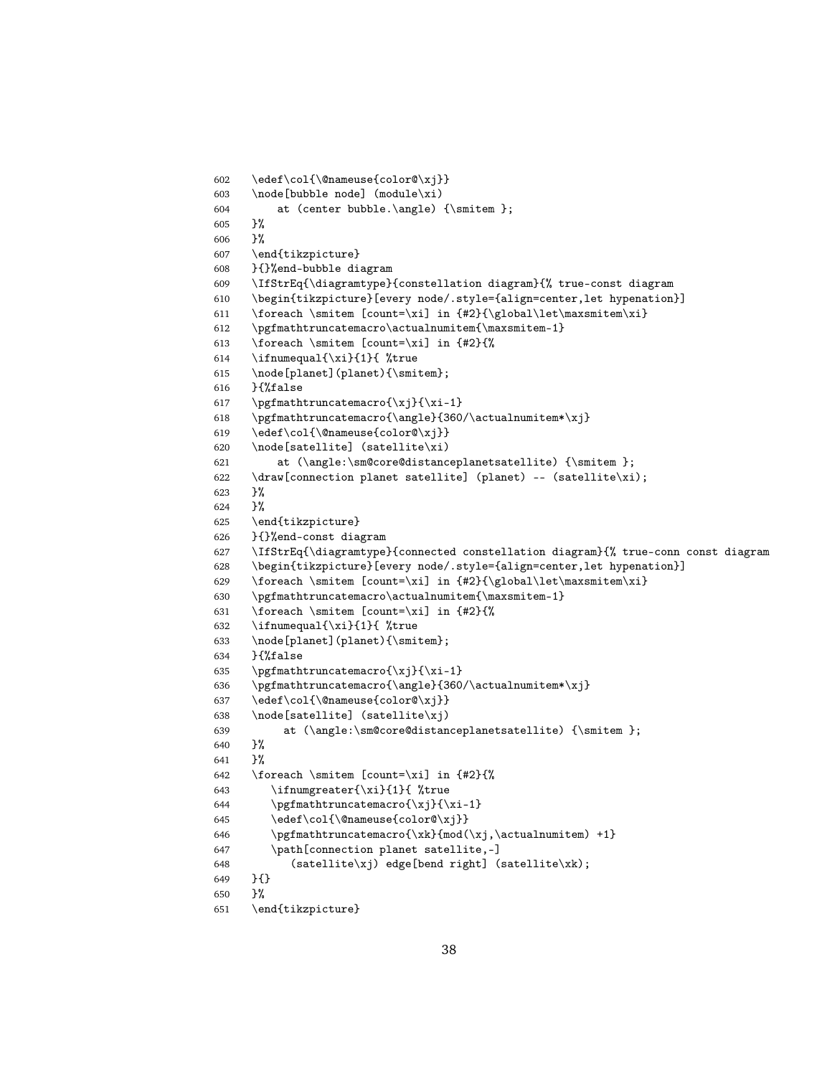```
602 \edef\col{\@nameuse{color@\xj}}
603 \node[bubble node] (module\xi)
604 at (center bubble.\angle) {\smitem };
605 }%
606 }%
607 \end{tikzpicture}
608 }{}%end-bubble diagram
609 \IfStrEq{\diagramtype}{constellation diagram}{% true-const diagram
610 \begin{tikzpicture}[every node/.style={align=center,let hypenation}]
611 \foreach \smitem [count=\xi] in \{\#2\} {\global\let\max{sim\xi}\}612 \pgfmathtruncatemacro\actualnumitem{\maxsmitem-1}
613 \foreach \smitem [count=\xi] in {#2}{%
614 \ifnumequal{\xi}{1}{ %true
615 \node[planet](planet){\smitem};
616 }{%false
617 \pgfmathtruncatemacro{\xj}{\xi-1}
618 \pgfmathtruncatemacro{\angle}{360/\actualnumitem*\xj}
619 \edef\col{\@nameuse{color@\xj}}
620 \node[satellite] (satellite\xi)
621 at \langle\,\rangle: at \langle\,\rangle: at \langle\,\rangle:
622 \draw[connection planet satellite] (planet) -- (satellite\xi);
623 }%
624 }%
625 \end{tikzpicture}
626 }{}%end-const diagram
627 \IfStrEq{\diagramtype}{connected constellation diagram}{% true-conn const diagram
628 \begin{tikzpicture}[every node/.style={align=center,let hypenation}]
629 \foreach \smitem [count=\xi] in {#2}{\global\let\maxsmitem\xi}
630 \pgfmathtruncatemacro\actualnumitem{\maxsmitem-1}
631 \foreach \smitem [count=\xi] in {#2}{%
632 \ifnumequal{\xi}{1}{ %true
633 \node[planet](planet){\smitem};
634 }{%false
635 \pgfmathtruncatemacro{\xj}{\xi-1}
636 \pgfmathtruncatemacro{\angle}{360/\actualnumitem*\xj}
637 \edef\col{\@nameuse{color@\xj}}
638 \node[satellite] (satellite\xj)
639 at \langle\sm@core@distanceplanetsatellite) {\smitem };
640 }%
641 \frac{1}{6}642 \foreach \smitem [count=\xi] in \{2\}\643 \ifnumgreater{\xi}{1}{ %true
644 \pgfmathtruncatenacro{\xj}{\xi-1}645 \edef\col{\@nameuse{color@\xj}}
646 \pgfmathtruncatemacro\xk}{mod(\xj,\actualnumitem) +1}
647 \path[connection planet satellite,-]
648 (satellite\xj) edge[bend right] (satellite\xk);
649 }{}
650 }%
651 \end{tikzpicture}
```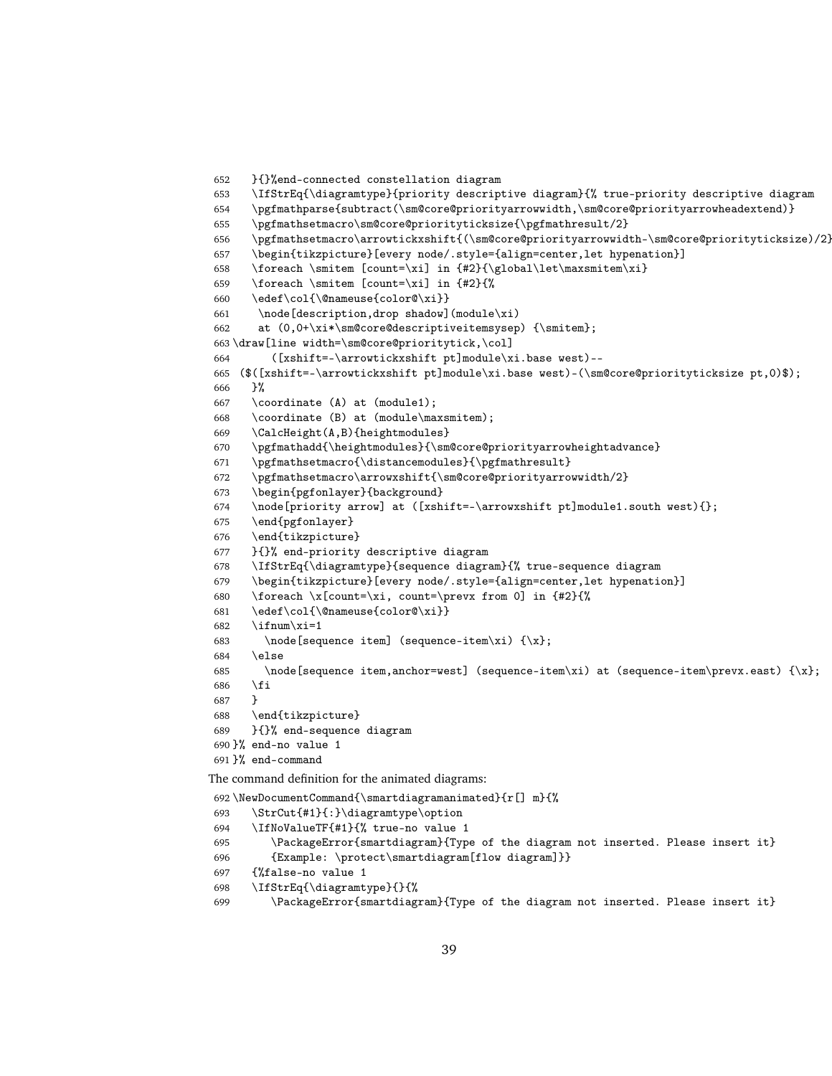```
652 }{}%end-connected constellation diagram
653 \IfStrEq{\diagramtype}{priority descriptive diagram}{% true-priority descriptive diagram
654 \pgfmathparse{subtract(\sm@core@priorityarrowwidth,\sm@core@priorityarrowheadextend)}
655 \pgfmathsetmacro\sm@core@priorityticksize{\pgfmathresult/2}
656 \pgfmathsetmacro\arrowtickxshift{(\sm@core@priorityarrowwidth-\sm@core@priorityticksize)/2}
657 \begin{tikzpicture}[every node/.style={align=center,let hypenation}]
658 \foreach \smitem [count=\xi] in {#2}{\global\let\maxsmitem\xi}
659 \foreach \smitem [count=\xi] in {#2}{%
660 \edef\col{\@nameuse{color@\xi}}
661 \node[description,drop shadow](module\xi)
662 at (0,0+\xi*\sm@core@descriptiveitemsysep) {\smitem};
663 \draw[line width=\sm@core@prioritytick,\col]
664 ([xshift=-\arrowtickxshift pt]module\xi.base west)--
665 ($([xshift=-\arrowtickxshift pt]module\xi.base west)-(\sm@core@priorityticksize pt,0)$);
666 }%
667 \coordinate (A) at (module1);
668 \coordinate (B) at (module\maxsmitem);
669 \CalcHeight(A,B){heightmodules}
670 \pgfmathadd{\heightmodules}{\sm@core@priorityarrowheightadvance}
671 \pgfmathsetmacro{\distancemodules}{\pgfmathresult}
672 \pgfmathsetmacro\arrowxshift{\sm@core@priorityarrowwidth/2}
673 \begin{pgfonlayer}{background}
674 \node[priority arrow] at ([xshift=-\arrowxshift pt]module1.south west){};
675 \end{pgfonlayer}
676 \end{tikzpicture}
677 }{}% end-priority descriptive diagram
678 \IfStrEq{\diagramtype}{sequence diagram}{% true-sequence diagram
679 \begin{tikzpicture}[every node/.style={align=center,let hypenation}]
680 \foreach \x[count=\xi, count=\prevx from 0] in {#2}{%
681 \edef\col{\@nameuse{color@\xi}}
682 \ifnum\xi=1
683 \node[sequence item] (sequence-item\xi) {\x};
684 \else
685 \node[sequence item,anchor=west] (sequence-item\xi) at (sequence-item\prevx.east) {\x};
686 \fi
687 }
688 \end{tikzpicture}
689 }{}% end-sequence diagram
690 }% end-no value 1
691 }% end-command
The command definition for the animated diagrams:
692 \NewDocumentCommand{\smartdiagramanimated}{r[] m}{%
693 \StrCut{#1}{:}\diagramtype\option
694 \IfNoValueTF{#1}{% true-no value 1
695 \PackageError{smartdiagram}{Type of the diagram not inserted. Please insert it}
696 {Example: \protect\smartdiagram[flow diagram]}}
697 {%false-no value 1
698 \IfStrEq{\diagramtype}{}{%
699 \PackageError{smartdiagram}{Type of the diagram not inserted. Please insert it}
```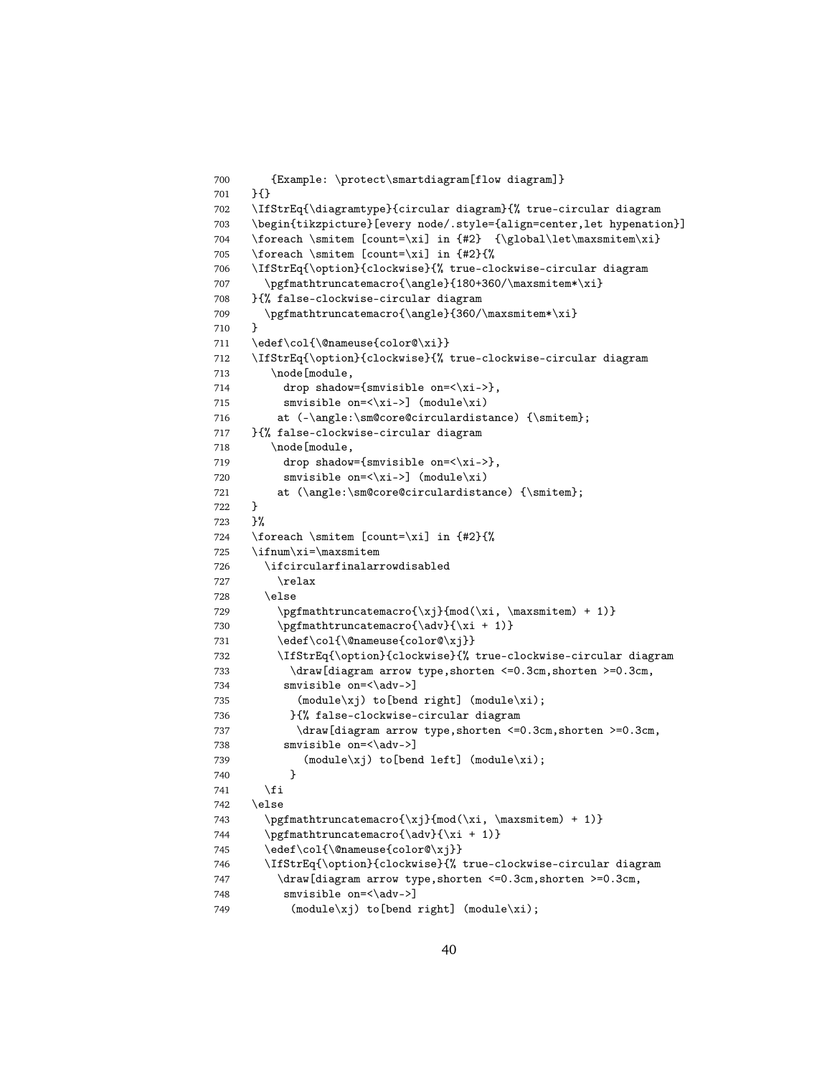```
700 {Example: \protect\smartdiagram[flow diagram]}
701 }{}
702 \IfStrEq{\diagramtype}{circular diagram}{% true-circular diagram
703 \begin{tikzpicture}[every node/.style={align=center,let hypenation}]
704 \foreach \smitem [count=\xi] in \{\n  42\} {\global\let\maxsmitem\xi}
705 \foreach \smitem [count=\xi] in {#2}{%
706 \IfStrEq{\option}{clockwise}{% true-clockwise-circular diagram
707 \pgfmathtruncatemacro{\angle}{180+360/\maxsmitem*\xi}
708 }{% false-clockwise-circular diagram
709 \pgfmathtruncatemacro{\angle}{360/\maxsmitem*\xi}
710 }
711 \edef\col{\@nameuse{color@\xi}}
712 \IfStrEq{\option}{clockwise}{% true-clockwise-circular diagram
713 \node[module,
714 drop shadow={smvisible on=\langle x_i - \rangle},
715 smvisible on=\langle xi-\rangle (module\langle xi \rangle)
716 at (-\angle:\smash{\cscirculardistance}) {\smitem};
717 }{% false-clockwise-circular diagram
718 \node[module,
719 drop shadow={smvisible on=<\xi->},
720 smvisible on=\langle x_i - \rangle (module\langle x_i \rangle)
721 at (\angle:\sm@core@circulardistance) {\smitem};
722 }
723 }%
724 \foreach \smitem [count=\xi] in {#2}{%
725 \ifnum\xi=\maxsmitem
726 \ifcircularfinalarrowdisabled
727 \relax
728 \else
729 \pgfmathtruncatenacro{\xj}{mod(\xi, \maxsmitem) + 1)}730 \pgfmathtruncatenaccro{\adv}{\xi + 1}731 \edef\col{\@nameuse{color@\xj}}
732 \IfStrEq{\option}{clockwise}{% true-clockwise-circular diagram
733 \draw[diagram arrow type,shorten <=0.3cm,shorten >=0.3cm,
734 smvisible on=<\adv->]
735 (module\xj) to[bend right] (module\xi);
736 }{% false-clockwise-circular diagram
737 \draw[diagram arrow type,shorten <=0.3cm,shorten >=0.3cm,
738 smvisible on=<\adv->]
739 (module\xj) to[bend left] (module\xi);
740 }
741 \forallfi
742 \rightarrow \text{else}743 \pgfmathtruncatemacro{\xj}{mod(\xi, \maxsmitem) + 1)}
744 \pgfmathtruncatemacro{\adv}{\xi + 1)}
745 \edef\col{\@nameuse{color@\xj}}
746 \IfStrEq{\option}{clockwise}{% true-clockwise-circular diagram
747 \draw[diagram arrow type, shorten <=0.3cm, shorten >=0.3cm,
748 smvisible on=<\adv->]
749 (module\xj) to[bend right] (module\xi);
```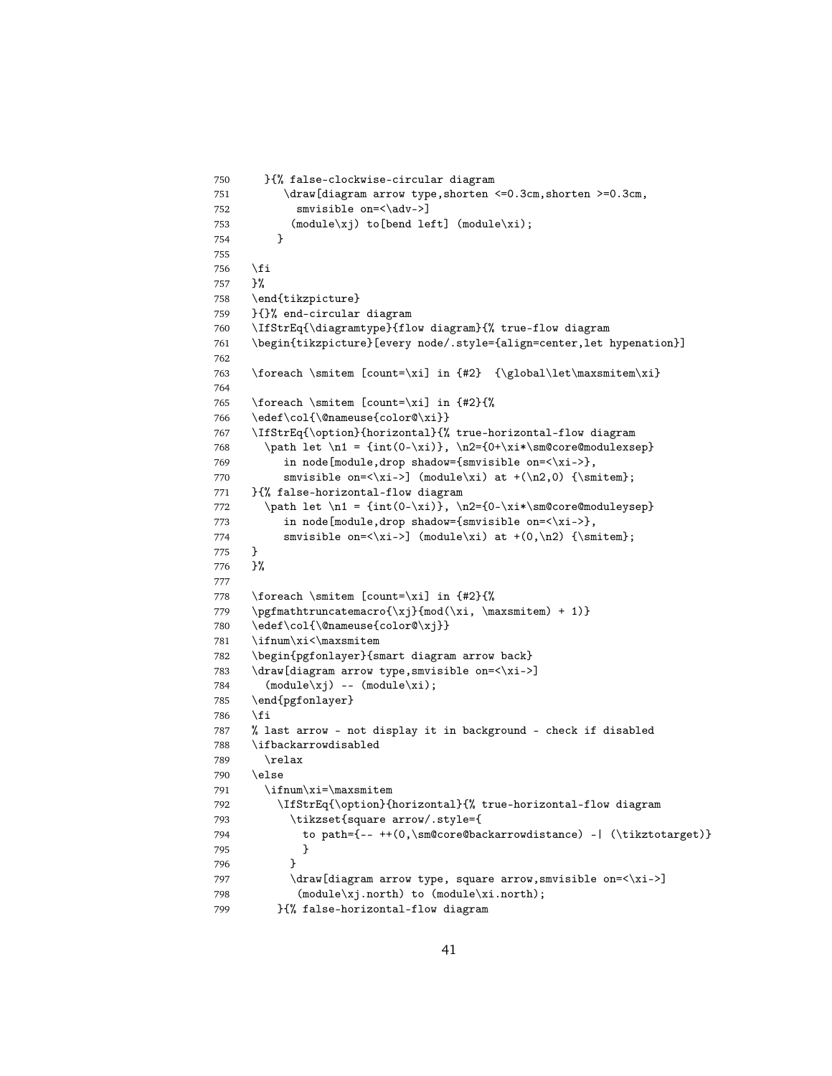```
750 }{% false-clockwise-circular diagram
751 \draw[diagram arrow type, shorten <= 0.3cm, shorten >= 0.3cm,
752 smvisible on=<\adv->]
753 (module\xj) to[bend left] (module\xi);
754 }
755
756 \fi
757 }%
758 \end{tikzpicture}
759 }{}% end-circular diagram
760 \IfStrEq{\diagramtype}{flow diagram}{% true-flow diagram
761 \begin{tikzpicture}[every node/.style={align=center,let hypenation}]
762
763 \foreach \smitem [count=\xi] in {#2} {\global\let\maxsmitem\xi}
764
765 \foreach \smitem [count=\xi] in {#2}{%
766 \edef\col{\@nameuse{color@\xi}}
767 \IfStrEq{\option}{horizontal}{% true-horizontal-flow diagram
768 \path let \n1 = {int(0-\xi)}, \n2={0+\xi*\sm@core@modulexsep}
769 in node[module,drop shadow={smvisible on=<\xi->},
770 smvisible on=\xi-> (module\xi) at +(\n2,0) {\smitem};
771 }{% false-horizontal-flow diagram
772 \path let \n1 = {int(0-\xi)}, \n2={0-\xi*\sm@core@moduleysep}
773 in node[module,drop shadow={smvisible on=<\xi->},
774 smvisible on=\xi-> (module\xi) at +(0,\n2) {\smitem};
775 }
776 }%
777
778 \foreach \smitem [count=\xi] in {#2}{%
779 \pgfmathtruncatemacro{\xj}{mod(\xi, \maxsmitem) + 1)}
780 \edef\col{\@nameuse{color@\xj}}
781 \ifnum\xi<\maxsmitem
782 \begin{pgfonlayer}{smart diagram arrow back}
783 \draw[diagram arrow type, smvisible on=<\xi->]
784 (module\xi) -- (module\xii);
785 \end{pgfonlayer}
786 \fi
787 % last arrow - not display it in background - check if disabled
788 \ifbackarrowdisabled
789 \relax
790 \else
791 \ifnum\xi=\maxsmitem
792 \IfStrEq{\option}{horizontal}{% true-horizontal-flow diagram
793 \tikzset{square arrow/.style={
794 to path={-- ++(0,\sm@core@backarrowdistance) -| (\tikztotarget)}
795 }
796 }
797 \draw[diagram arrow type, square arrow, smvisible on=<\xi->]
798 (module\xj.north) to (module\xi.north);
799 }{% false-horizontal-flow diagram
```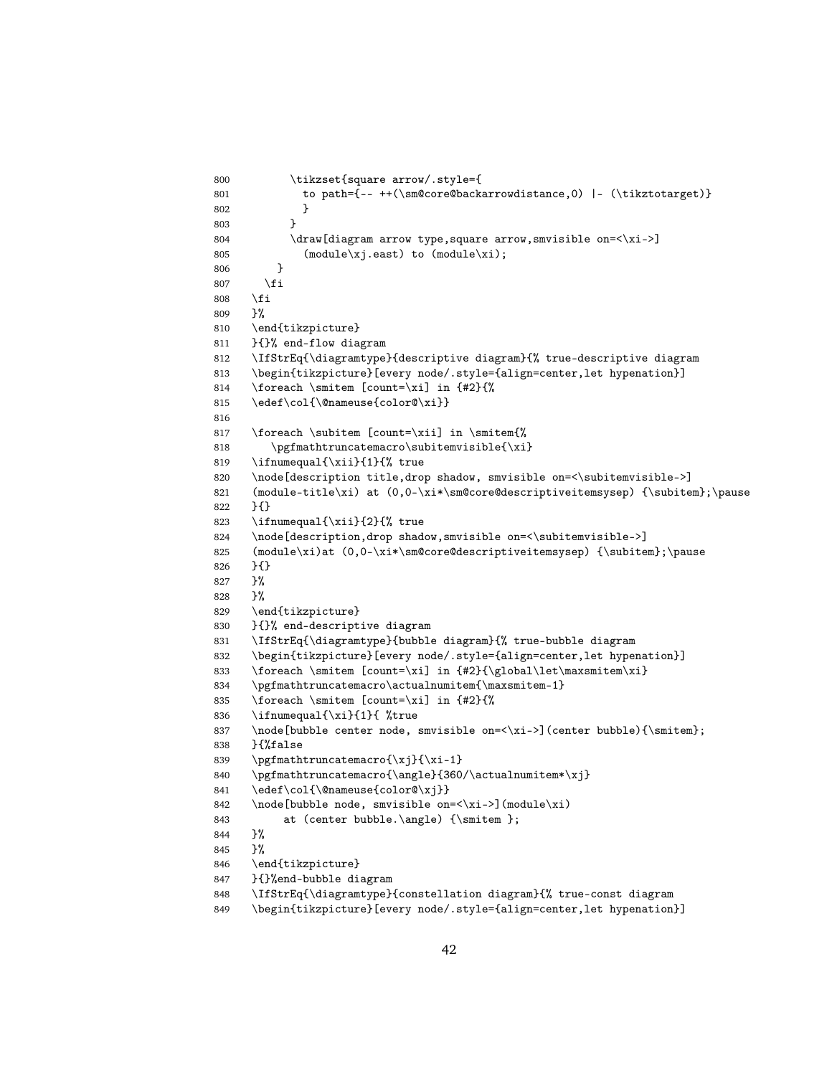```
800 \tikzset{square arrow/.style={
801 to path={-- ++(\sm@core@backarrowdistance,0) |- (\tikztotarget)}
802 }
803 }
804 \draw[diagram arrow type,square arrow,smvisible on=<\xi->]
805 (module\xij.east) to (module\xii);
806 }
807 \fi
808 \fi
809 }%
810 \end{tikzpicture}
811 }{}% end-flow diagram
812 \IfStrEq{\diagramtype}{descriptive diagram}{% true-descriptive diagram
813 \begin{tikzpicture}[every node/.style={align=center,let hypenation}]
814 \foreach \smitem [count=\xi] in {#2}{%
815 \edef\col{\@nameuse{color@\xi}}
816
817 \foreach \subitem [count=\xii] in \smitem{%
818 \pgfmathtruncatemacro\subitemvisible{\xi}
819 \ifnumequal{\xii}{1}{% true
820 \node[description title,drop shadow, smvisible on=<\subitemvisible->]
821 (module-title\xi) at (0,0-\xi*\\smash{\cos}\atop\mskip{0.5mu}\mskip{0.5mu}822 }{}
823 \ifnumequal{\xii}{2}{% true
824 \node[description,drop shadow,smvisible on=<\subitemvisible->]
825 (module\xi)at (0,0-\xi*)\simeq0 as \xi (\subitem};\pause
826 }{}
827 }%
828 }%
829 \end{tikzpicture}
830 }{}% end-descriptive diagram
831 \IfStrEq{\diagramtype}{bubble diagram}{% true-bubble diagram
832 \begin{tikzpicture}[every node/.style={align=center,let hypenation}]
833 \foreach \smitem [count=\xi] in {#2}{\global\let\maxsmitem\xi}
834 \pgfmathtruncatemacro\actualnumitem{\maxsmitem-1}
835 \foreach \smitem [count=\xi] in {#2}{%
836 \ifnumequal{\xi}{1}{ %true
837 \node[bubble center node, smvisible on=<\xi->](center bubble){\smitem};
838 }{%false
839 \pgfmathtruncatemacro{\xj}{\xi-1}
840 \pgfmathtruncatemacro{\angle}{360/\actualnumitem*\xj}
841 \edef\col{\@nameuse{color@\xj}}
842 \node[bubble node, smvisible on=<\xi->](module\xi)
843 at (center bubble.\angle) {\smitem };
844 }%
845 }%
846 \end{tikzpicture}
847 }{}%end-bubble diagram
848 \IfStrEq{\diagramtype}{constellation diagram}{% true-const diagram
849 \begin{tikzpicture}[every node/.style={align=center,let hypenation}]
```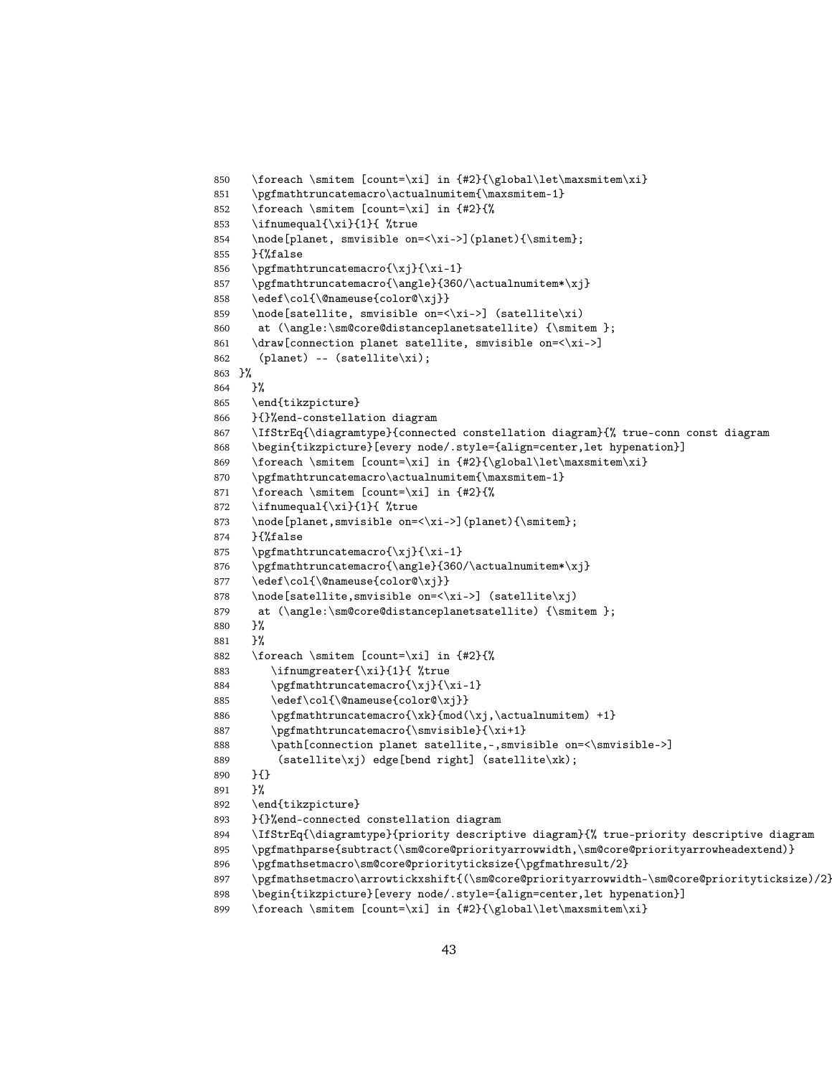```
850 \foreach \smitem [count=\xi] in {#2}{\global\let\maxsmitem\xi}
851 \pgfmathtruncatemacro\actualnumitem{\maxsmitem-1}
852 \foreach \smitem [count=\xi] in {#2}{%
853 \ifnumequal{\xi}{1}{ %true
854 \node[planet, smvisible on=<\xi->](planet){\smitem};
855 }{%false
856 \pgfmathtruncatemacro\{\xj\} \xi-1}
857 \pgfmathtruncatemacro{\angle}{360/\actualnumitem*\xj}
858 \edef\col{\@nameuse{color@\xj}}
859 \node[satellite, smvisible on=<\xi->] (satellite\xi)
860 at \langle\sm@core@distanceplanetsatellite) {\smitem };
861 \draw[connection planet satellite, smvisible on=<\xi->]
862 (planet) -- (satellite\xi);
863 }%
864 }%
865 \end{tikzpicture}
866 }{}%end-constellation diagram
867 \IfStrEq{\diagramtype}{connected constellation diagram}{% true-conn const diagram
868 \begin{tikzpicture}[every node/.style={align=center,let hypenation}]
869 \foreach \smitem [count=\xi] in {#2}{\global\let\maxsmitem\xi}
870 \pgfmathtruncatemacro\actualnumitem{\maxsmitem-1}
871 \foreach \smitem [count=\xi] in {#2}{%
872 \ifnumequal{\xi}{1}{ %true
873 \node[planet,smvisible on=<\xi->](planet){\smitem};
874 }{%false
875 \pgfmathtruncatemacro{\xj}{\xi-1}
876 \pgfmathtruncatemacro{\angle}{360/\actualnumitem*\xj}
877 \edef\col{\@nameuse{color@\xj}}
878 \node[satellite,smvisible on=<\xi->] (satellite\xj)
879 at \langle\sm@core@distanceplanetsatellite) {\smitem };
880 }%
881 }%
882 \foreach \smitem [count=\xi] in {#2}{%
883 \ifnumgreater{\xi}{1}{ %true
884 \pgfmathtruncatemacro{\xj}{\xi-1}
885 \edef\col{\@nameuse{color@\xj}}
886 \pgfmathtruncatemacro{\xk}{mod(\xj,\actualnumitem) +1}
887 \pgfmathtruncatemacro{\smvisible}{\xi+1}
888 \path[connection planet satellite,-,smvisible on=<\smvisible->]
889 (satellite\xj) edge[bend right] (satellite\xk);
890 }{}
891 }%
892 \end{tikzpicture}
893 }{}%end-connected constellation diagram
894 \IfStrEq{\diagramtype}{priority descriptive diagram}{% true-priority descriptive diagram
895 \pgfmathparse{subtract(\sm@core@priorityarrowwidth,\sm@core@priorityarrowheadextend)}
896 \pgfmathsetmacro\sm@core@priorityticksize{\pgfmathresult/2}
897 \pgfmathsetmacro\arrowtickxshift{(\sm@core@priorityarrowwidth-\sm@core@priorityticksize)/2}
898 \begin{tikzpicture}[every node/.style={align=center,let hypenation}]
899 \foreach \smitem [count=\xi] in {#2}{\global\let\maxsmitem\xi}
```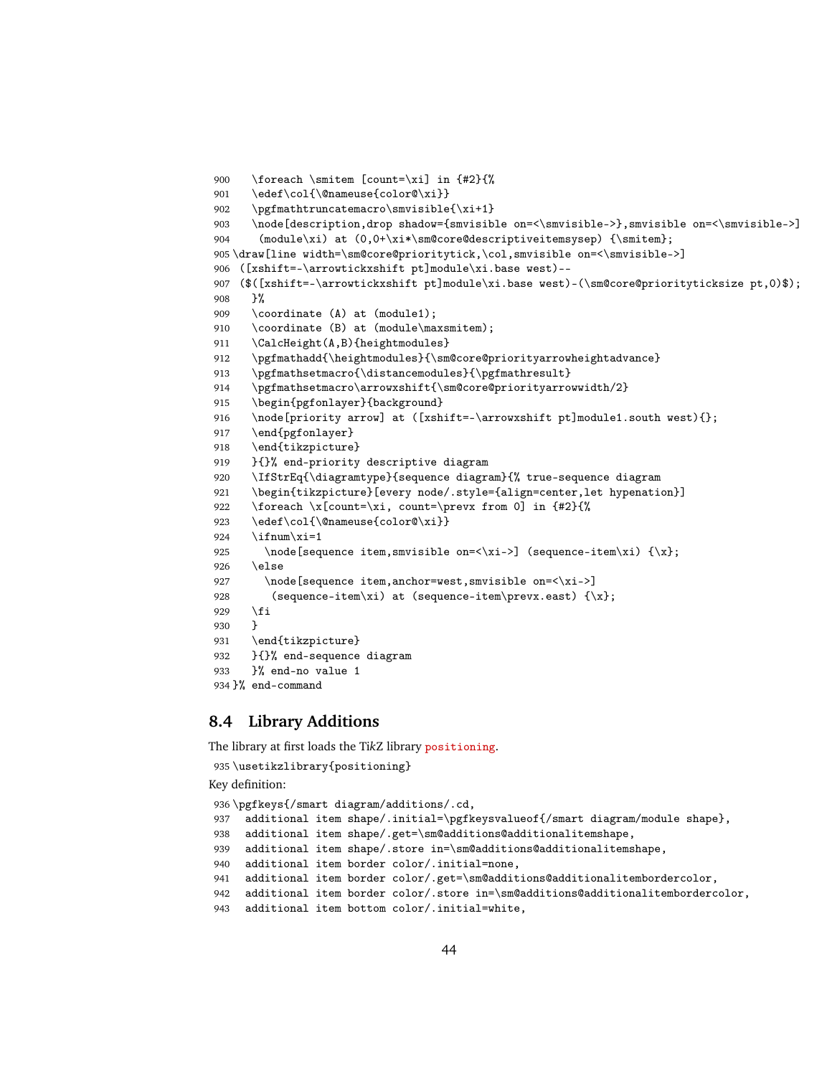```
900 \foreach \smitem [count=\xi] in {#2}{%
901 \edef\col{\@nameuse{color@\xi}}
902 \pgfmathtruncatemacro\smvisible{\xi+1}
903 \node[description,drop shadow={smvisible on=<\smvisible->},smvisible on=<\smvisible->]
904 (module\xi) at (0,0+\xi*\smash{\text{core@descriptiveitem}}) {\smash{\text{c}}};
905 \draw[line width=\sm@core@prioritytick,\col,smvisible on=<\smvisible->]
906 ([xshift=-\arrowtickxshift pt]module\xi.base west)--
907 ($([xshift=-\arrowtickxshift pt]module\xi.base west)-(\sm@core@priorityticksize pt,0)$);
908 }%
909 \coordinate (A) at (module1);
910 \coordinate (B) at (module\maxsmitem);
911 \CalcHeight(A,B){heightmodules}
912 \pgfmathadd{\heightmodules}{\sm@core@priorityarrowheightadvance}
913 \pgfmathsetmacro{\distancemodules}{\pgfmathresult}
914 \pgfmathsetmacro\arrowxshift{\sm@core@priorityarrowwidth/2}
915 \begin{pgfonlayer}{background}
916 \node[priority arrow] at ([xshift=-\arrowxshift pt]module1.south west){};
917 \end{pgfonlayer}
918 \end{tikzpicture}
919 }{}% end-priority descriptive diagram
920 \IfStrEq{\diagramtype}{sequence diagram}{% true-sequence diagram
921 \begin{tikzpicture}[every node/.style={align=center,let hypenation}]
922 \foreach \x[count=\xi, count=\prevx from 0] in {#2}{%
923 \edef\col{\@nameuse{color@\xi}}
924 \iintnum\xi=1925 \node[sequence item,smvisible on=<\xi->] (sequence-item\xi) {\x};
926 \else
927 \node[sequence item,anchor=west,smvisible on=<\xi->]
928 (sequence-item\xi) at (sequence-item\prevx.east) \{\x};
929 \fi
930 }
931 \end{tikzpicture}
932 }{}% end-sequence diagram
933 }% end-no value 1
934 }% end-command
```
## <span id="page-43-0"></span>**8.4 Library Additions**

The library at first loads the Ti*k*Z library positioning.

```
935 \usetikzlibrary{positioning}
Key definition:
936 \pgfkeys{/smart diagram/additions/.cd,
937 additional item shape/.initial=\pgfkeysvalueof{/smart diagram/module shape},
938 additional item shape/.get=\sm@additions@additionalitemshape,
939 additional item shape/.store in=\sm@additions@additionalitemshape,
940 additional item border color/.initial=none,
941 additional item border color/.get=\sm@additions@additionalitembordercolor,
942 additional item border color/.store in=\sm@additions@additionalitembordercolor,
943 additional item bottom color/.initial=white,
```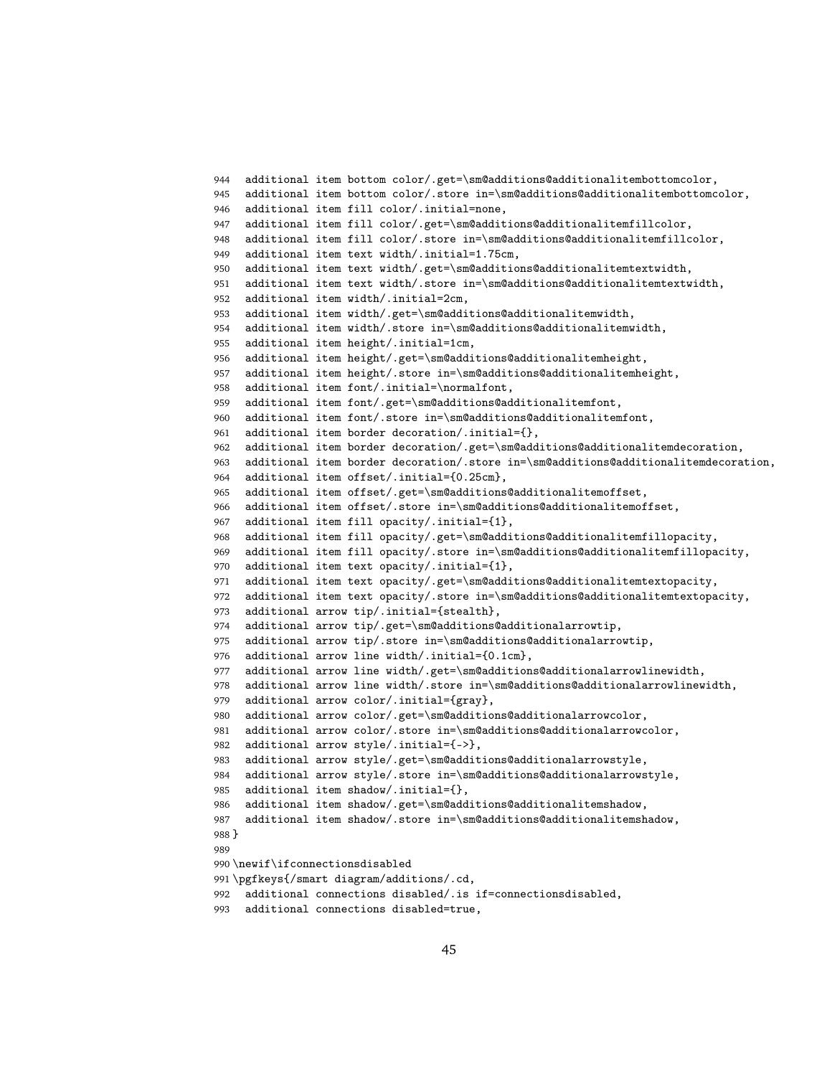```
944 additional item bottom color/.get=\sm@additions@additionalitembottomcolor,
945 additional item bottom color/.store in=\sm@additions@additionalitembottomcolor,
946 additional item fill color/.initial=none,
947 additional item fill color/.get=\sm@additions@additionalitemfillcolor,
948 additional item fill color/.store in=\sm@additions@additionalitemfillcolor,
949 additional item text width/.initial=1.75cm,
950 additional item text width/.get=\sm@additions@additionalitemtextwidth,
951 additional item text width/.store in=\sm@additions@additionalitemtextwidth,
952 additional item width/.initial=2cm,
953 additional item width/.get=\sm@additions@additionalitemwidth,
954 additional item width/.store in=\sm@additions@additionalitemwidth,
955 additional item height/.initial=1cm,
956 additional item height/.get=\sm@additions@additionalitemheight,
957 additional item height/.store in=\sm@additions@additionalitemheight,
958 additional item font/.initial=\normalfont,
959 additional item font/.get=\sm@additions@additionalitemfont,
960 additional item font/.store in=\sm@additions@additionalitemfont,
961 additional item border decoration/.initial={},
962 additional item border decoration/.get=\sm@additions@additionalitemdecoration,
963 additional item border decoration/.store in=\sm@additions@additionalitemdecoration,
964 additional item offset/.initial={0.25cm},
965 additional item offset/.get=\sm@additions@additionalitemoffset,
966 additional item offset/.store in=\sm@additions@additionalitemoffset,
967 additional item fill opacity/.initial={1},
968 additional item fill opacity/.get=\sm@additions@additionalitemfillopacity,
969 additional item fill opacity/.store in=\sm@additions@additionalitemfillopacity,
970 additional item text opacity/.initial={1},
971 additional item text opacity/.get=\sm@additions@additionalitemtextopacity,
972 additional item text opacity/.store in=\sm@additions@additionalitemtextopacity,
973 additional arrow tip/.initial={stealth},
974 additional arrow tip/.get=\sm@additions@additionalarrowtip,
975 additional arrow tip/.store in=\sm@additions@additionalarrowtip,
976 additional arrow line width/.initial={0.1cm},
977 additional arrow line width/.get=\sm@additions@additionalarrowlinewidth,
978 additional arrow line width/.store in=\sm@additions@additionalarrowlinewidth,
979 additional arrow color/.initial={gray},
980 additional arrow color/.get=\sm@additions@additionalarrowcolor,
981 additional arrow color/.store in=\sm@additions@additionalarrowcolor,
982 additional arrow style/.initial={->},
983 additional arrow style/.get=\sm@additions@additionalarrowstyle,
984 additional arrow style/.store in=\sm@additions@additionalarrowstyle,
985 additional item shadow/.initial={},
986 additional item shadow/.get=\sm@additions@additionalitemshadow,
987 additional item shadow/.store in=\sm@additions@additionalitemshadow,
988 }
989
990 \newif\ifconnectionsdisabled
991 \pgfkeys{/smart diagram/additions/.cd,
992 additional connections disabled/.is if=connectionsdisabled,
993 additional connections disabled=true,
```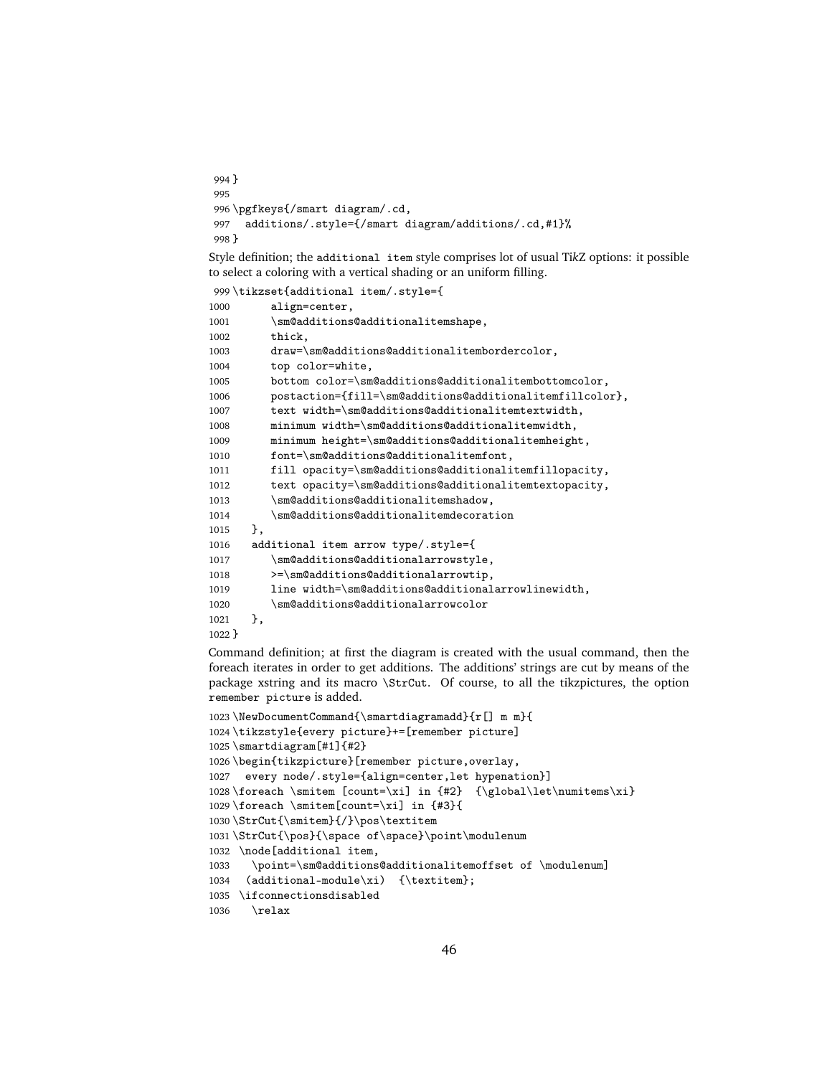```
994 }
995
996 \pgfkeys{/smart diagram/.cd,
997 additions/.style={/smart diagram/additions/.cd,#1}%
998 }
```
Style definition; the additional item style comprises lot of usual Ti*k*Z options: it possible to select a coloring with a vertical shading or an uniform filling.

```
999 \tikzset{additional item/.style={
1000 align=center,
1001 \sm@additions@additionalitemshape,
1002 thick,
1003 draw=\sm@additions@additionalitembordercolor,
1004 top color=white,
1005 bottom color=\sm@additions@additionalitembottomcolor,
1006 postaction={fill=\sm@additions@additionalitemfillcolor},
1007 text width=\sm@additions@additionalitemtextwidth,
1008 minimum width=\sm@additions@additionalitemwidth,
1009 minimum height=\sm@additions@additionalitemheight,
1010 font=\sm@additions@additionalitemfont,
1011 fill opacity=\sm@additions@additionalitemfillopacity,
1012 text opacity=\sm@additions@additionalitemtextopacity,
1013 \sm@additions@additionalitemshadow,
1014 \sm@additions@additionalitemdecoration
1015 },
1016 additional item arrow type/.style={
1017 \sm@additions@additionalarrowstyle,
1018 >=\sm@additions@additionalarrowtip,
1019 line width=\sm@additions@additionalarrowlinewidth,
1020 \sm@additions@additionalarrowcolor
1021 },
1022 }
```
Command definition; at first the diagram is created with the usual command, then the foreach iterates in order to get additions. The additions' strings are cut by means of the package xstring and its macro \StrCut. Of course, to all the tikzpictures, the option remember picture is added.

```
1023 \NewDocumentCommand{\smartdiagramadd}{r[] m m}{
1024 \tikzstyle{every picture}+=[remember picture]
1025 \smartdiagram[#1]{#2}
1026 \begin{tikzpicture}[remember picture,overlay,
1027 every node/.style={align=center,let hypenation}]
1028 \foreach \smitem [count=\xi] in {#2} {\global\let\numitems\xi}
1029 \foreach \smitem[count=\xi] in {#3}{
1030 \StrCut{\smitem}{/}\pos\textitem
1031 \StrCut{\pos}{\space of\space}\point\modulenum
1032 \node[additional item,
1033 \point=\sm@additions@additionalitemoffset of \modulenum]
1034 (additional-module\xi) {\textitem};
1035 \ifconnectionsdisabled
1036 \relax
```